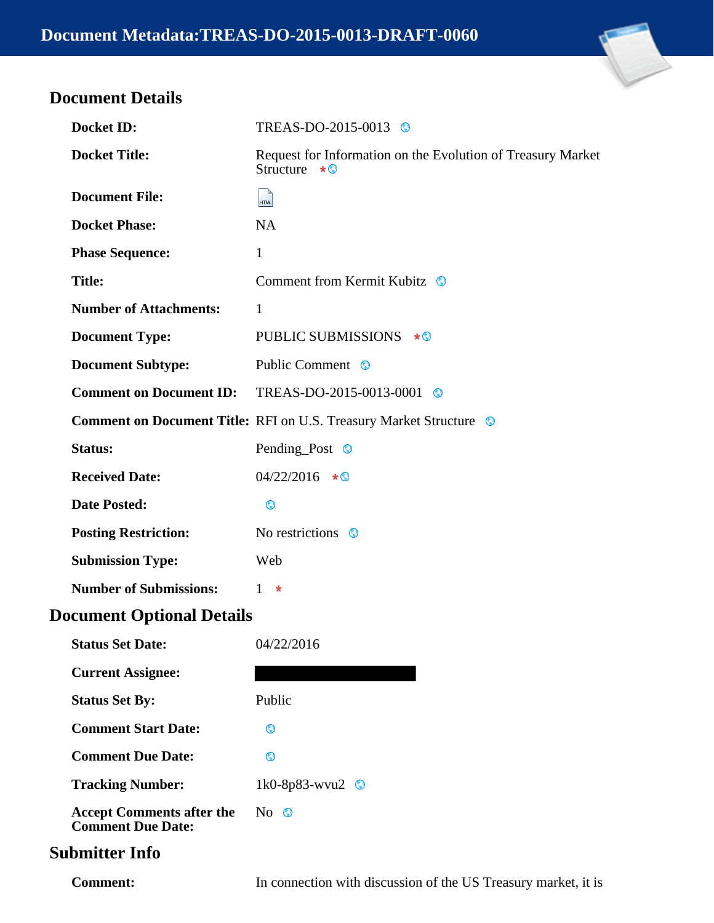

# **Document Details**

| <b>Docket ID:</b>                                                         | TREAS-DO-2015-0013                                                       |  |  |
|---------------------------------------------------------------------------|--------------------------------------------------------------------------|--|--|
| <b>Docket Title:</b>                                                      | Request for Information on the Evolution of Treasury Market<br>Structure |  |  |
| <b>Document File:</b>                                                     | $\sqrt{mH}$                                                              |  |  |
| <b>Docket Phase:</b>                                                      | <b>NA</b>                                                                |  |  |
| <b>Phase Sequence:</b>                                                    | $\mathbf{1}$                                                             |  |  |
| <b>Title:</b>                                                             | Comment from Kermit Kubitz ©                                             |  |  |
| <b>Number of Attachments:</b>                                             | 1                                                                        |  |  |
| <b>Document Type:</b>                                                     | PUBLIC SUBMISSIONS * <sup>0</sup>                                        |  |  |
| <b>Document Subtype:</b>                                                  | Public Comment ©                                                         |  |  |
| <b>Comment on Document ID:</b>                                            | TREAS-DO-2015-0013-0001                                                  |  |  |
| <b>Comment on Document Title:</b> RFI on U.S. Treasury Market Structure © |                                                                          |  |  |
| Status:                                                                   | Pending_Post ©                                                           |  |  |
| <b>Received Date:</b>                                                     | $04/22/2016$ * ©                                                         |  |  |
| <b>Date Posted:</b>                                                       | $\circledcirc$                                                           |  |  |
| <b>Posting Restriction:</b>                                               | No restrictions $\bullet$                                                |  |  |
| <b>Submission Type:</b>                                                   | Web                                                                      |  |  |
| <b>Number of Submissions:</b>                                             | $\sim$ 1 $\star$                                                         |  |  |
| <b>Document Optional Details</b>                                          |                                                                          |  |  |
| <b>Status Set Date:</b> 04/22/2016                                        |                                                                          |  |  |
| <b>Current Assignee:</b>                                                  |                                                                          |  |  |
| <b>Status Set By:</b>                                                     | Public                                                                   |  |  |
| <b>Comment Start Date:</b>                                                | $\circledcirc$                                                           |  |  |
| <b>Comment Due Date:</b>                                                  | $\odot$                                                                  |  |  |
| <b>Tracking Number:</b>                                                   | 1k0-8p83-wvu2 ©                                                          |  |  |
| <b>Accept Comments after the</b><br><b>Comment Due Date:</b>              | No                                                                       |  |  |
| <b>Submitter Info</b>                                                     |                                                                          |  |  |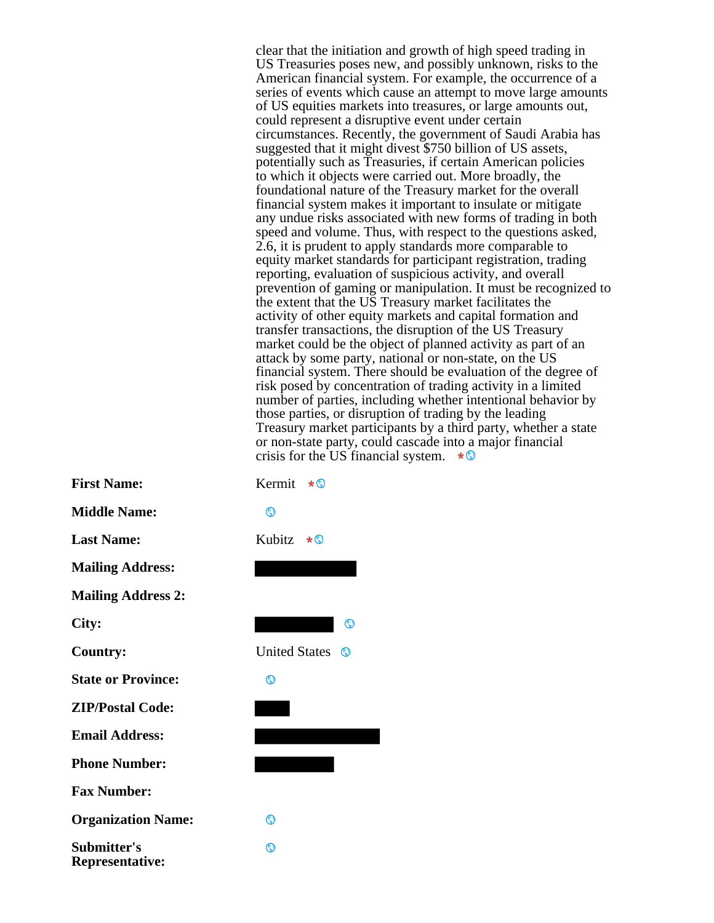clear that the initiation and growth of high speed trading in US Treasuries poses new, and possibly unknown, risks to the American financial system. For example, the occurrence of a series of events which cause an attempt to move large amounts of US equities markets into treasures, or large amounts out, could represent a disruptive event under certain circumstances. Recently, the government of Saudi Arabia has suggested that it might divest \$750 billion of US assets, potentially such as Treasuries, if certain American policies to which it objects were carried out. More broadly, the foundational nature of the Treasury market for the overall financial system makes it important to insulate or mitigate any undue risks associated with new forms of trading in both speed and volume. Thus, with respect to the questions asked, 2.6, it is prudent to apply standards more comparable to equity market standards for participant registration, trading reporting, evaluation of suspicious activity, and overall prevention of gaming or manipulation. It must be recognized to the extent that the US Treasury market facilitates the activity of other equity markets and capital formation and transfer transactions, the disruption of the US Treasury market could be the object of planned activity as part of an attack by some party, national or non-state, on the US financial system. There should be evaluation of the degree of risk posed by concentration of trading activity in a limited number of parties, including whether intentional behavior by those parties, or disruption of trading by the leading Treasury market participants by a third party, whether a state or non-state party, could cascade into a major financial crisis for the US financial system.  $\star$ 

| <b>First Name:</b>                    | Kermit $\star$ $\odot$    |
|---------------------------------------|---------------------------|
| <b>Middle Name:</b>                   | ⊙                         |
| <b>Last Name:</b>                     | Kubitz $\star$            |
| <b>Mailing Address:</b>               |                           |
| <b>Mailing Address 2:</b>             |                           |
| City:                                 | ல                         |
| <b>Country:</b>                       | <b>United States</b><br>◎ |
| <b>State or Province:</b>             | $\circledcirc$            |
| <b>ZIP/Postal Code:</b>               |                           |
| <b>Email Address:</b>                 |                           |
| <b>Phone Number:</b>                  |                           |
| <b>Fax Number:</b>                    |                           |
| <b>Organization Name:</b>             | ⊙                         |
| Submitter's<br><b>Representative:</b> | ⊙                         |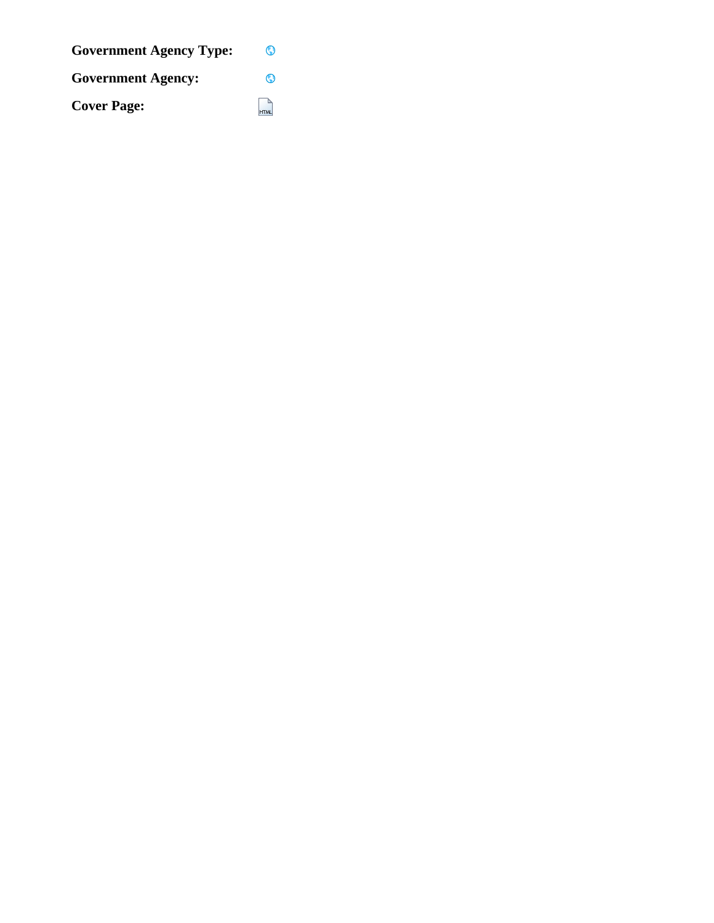| <b>Government Agency Type:</b> | ⊙           |
|--------------------------------|-------------|
| <b>Government Agency:</b>      | $\odot$     |
| <b>Cover Page:</b>             | <b>HTML</b> |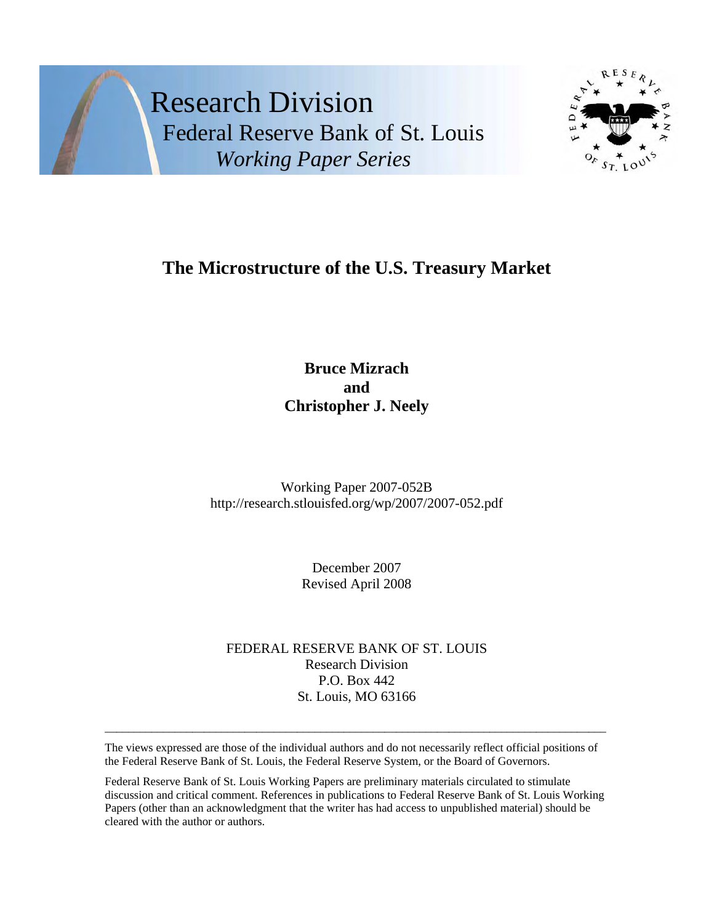



# **The Microstructure of the U.S. Treasury Market**

## **Bruce Mizrach and Christopher J. Neely**

Working Paper 2007-052B http://research.stlouisfed.org/wp/2007/2007-052.pdf

> December 2007 Revised April 2008

FEDERAL RESERVE BANK OF ST. LOUIS Research Division P.O. Box 442 St. Louis, MO 63166

The views expressed are those of the individual authors and do not necessarily reflect official positions of the Federal Reserve Bank of St. Louis, the Federal Reserve System, or the Board of Governors.

 $\_$  ,  $\_$  ,  $\_$  ,  $\_$  ,  $\_$  ,  $\_$  ,  $\_$  ,  $\_$  ,  $\_$  ,  $\_$  ,  $\_$  ,  $\_$  ,  $\_$  ,  $\_$  ,  $\_$  ,  $\_$  ,  $\_$  ,  $\_$  ,  $\_$  ,  $\_$  ,  $\_$  ,  $\_$  ,  $\_$  ,  $\_$  ,  $\_$  ,  $\_$  ,  $\_$  ,  $\_$  ,  $\_$  ,  $\_$  ,  $\_$  ,  $\_$  ,  $\_$  ,  $\_$  ,  $\_$  ,  $\_$  ,  $\_$  ,

Federal Reserve Bank of St. Louis Working Papers are preliminary materials circulated to stimulate discussion and critical comment. References in publications to Federal Reserve Bank of St. Louis Working Papers (other than an acknowledgment that the writer has had access to unpublished material) should be cleared with the author or authors.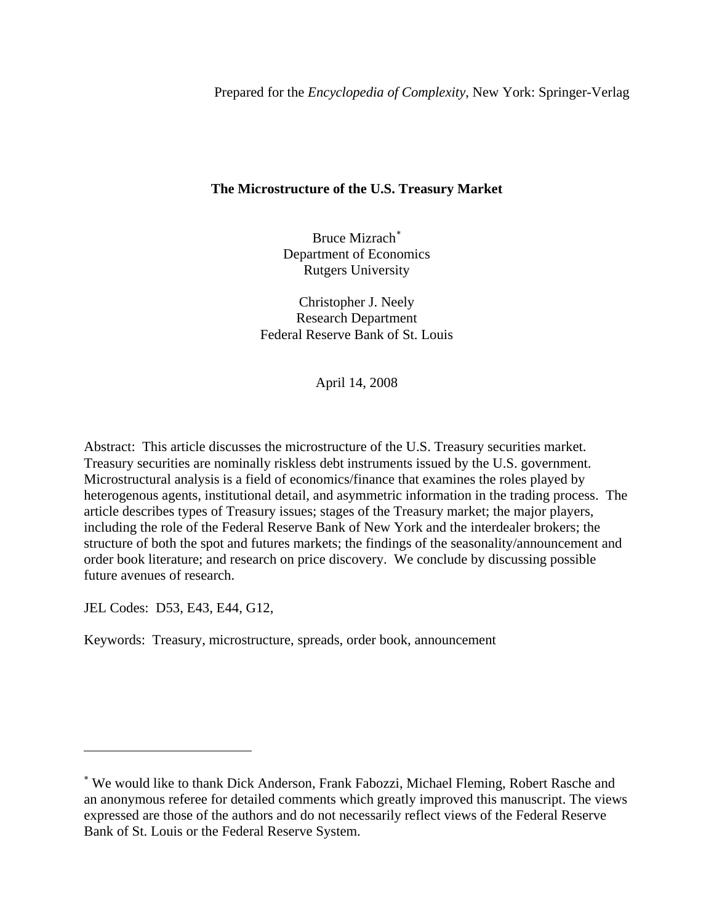Prepared for the *Encyclopedia of Complexity*, New York: Springer-Verlag

### **The Microstructure of the U.S. Treasury Market**

Bruce Mizrach[∗](#page-4-0) Department of Economics Rutgers University

Christopher J. Neely Research Department Federal Reserve Bank of St. Louis

April 14, 2008

Abstract: This article discusses the microstructure of the U.S. Treasury securities market. Treasury securities are nominally riskless debt instruments issued by the U.S. government. Microstructural analysis is a field of economics/finance that examines the roles played by heterogenous agents, institutional detail, and asymmetric information in the trading process. The article describes types of Treasury issues; stages of the Treasury market; the major players, including the role of the Federal Reserve Bank of New York and the interdealer brokers; the structure of both the spot and futures markets; the findings of the seasonality/announcement and order book literature; and research on price discovery. We conclude by discussing possible future avenues of research.

JEL Codes: D53, E43, E44, G12,

 $\overline{a}$ 

Keywords: Treasury, microstructure, spreads, order book, announcement

<span id="page-4-0"></span><sup>∗</sup> We would like to thank Dick Anderson, Frank Fabozzi, Michael Fleming, Robert Rasche and an anonymous referee for detailed comments which greatly improved this manuscript. The views expressed are those of the authors and do not necessarily reflect views of the Federal Reserve Bank of St. Louis or the Federal Reserve System.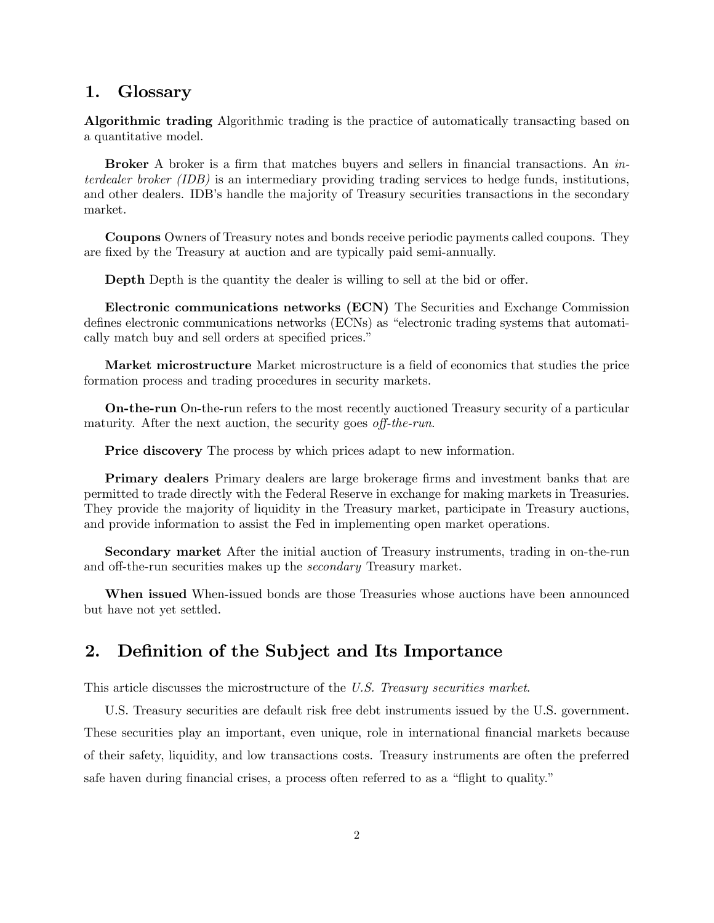## 1. Glossary

Algorithmic trading Algorithmic trading is the practice of automatically transacting based on a quantitative model.

**Broker** A broker is a firm that matches buyers and sellers in financial transactions. An *in*terdealer broker (IDB) is an intermediary providing trading services to hedge funds, institutions, and other dealers. IDB's handle the majority of Treasury securities transactions in the secondary market.

Coupons Owners of Treasury notes and bonds receive periodic payments called coupons. They are fixed by the Treasury at auction and are typically paid semi-annually.

Depth Depth is the quantity the dealer is willing to sell at the bid or offer.

Electronic communications networks (ECN) The Securities and Exchange Commission defines electronic communications networks (ECNs) as "electronic trading systems that automatically match buy and sell orders at specified prices."

Market microstructure Market microstructure is a field of economics that studies the price formation process and trading procedures in security markets.

On-the-run On-the-run refers to the most recently auctioned Treasury security of a particular maturity. After the next auction, the security goes of f-the-run.

**Price discovery** The process by which prices adapt to new information.

Primary dealers Primary dealers are large brokerage firms and investment banks that are permitted to trade directly with the Federal Reserve in exchange for making markets in Treasuries. They provide the majority of liquidity in the Treasury market, participate in Treasury auctions, and provide information to assist the Fed in implementing open market operations.

Secondary market After the initial auction of Treasury instruments, trading in on-the-run and off-the-run securities makes up the secondary Treasury market.

When issued When-issued bonds are those Treasuries whose auctions have been announced but have not yet settled.

## 2. Definition of the Subject and Its Importance

This article discusses the microstructure of the U.S. Treasury securities market.

U.S. Treasury securities are default risk free debt instruments issued by the U.S. government. These securities play an important, even unique, role in international financial markets because of their safety, liquidity, and low transactions costs. Treasury instruments are often the preferred safe haven during financial crises, a process often referred to as a "flight to quality."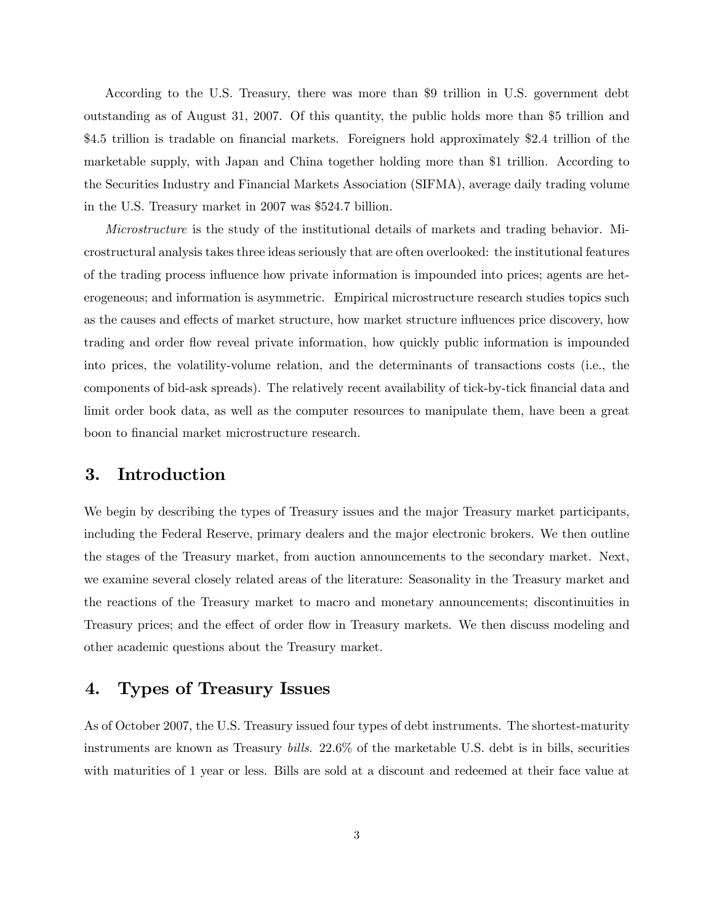According to the U.S. Treasury, there was more than \$9 trillion in U.S. government debt outstanding as of August 31, 2007. Of this quantity, the public holds more than \$5 trillion and \$4.5 trillion is tradable on financial markets. Foreigners hold approximately \$2.4 trillion of the marketable supply, with Japan and China together holding more than \$1 trillion. According to the Securities Industry and Financial Markets Association (SIFMA), average daily trading volume in the U.S. Treasury market in 2007 was \$524.7 billion.

Microstructure is the study of the institutional details of markets and trading behavior. Microstructural analysis takes three ideas seriously that are often overlooked: the institutional features of the trading process influence how private information is impounded into prices; agents are heterogeneous; and information is asymmetric. Empirical microstructure research studies topics such as the causes and effects of market structure, how market structure influences price discovery, how trading and order flow reveal private information, how quickly public information is impounded into prices, the volatility-volume relation, and the determinants of transactions costs (i.e., the components of bid-ask spreads). The relatively recent availability of tick-by-tick financial data and limit order book data, as well as the computer resources to manipulate them, have been a great boon to financial market microstructure research.

### 3. Introduction

We begin by describing the types of Treasury issues and the major Treasury market participants, including the Federal Reserve, primary dealers and the major electronic brokers. We then outline the stages of the Treasury market, from auction announcements to the secondary market. Next, we examine several closely related areas of the literature: Seasonality in the Treasury market and the reactions of the Treasury market to macro and monetary announcements; discontinuities in Treasury prices; and the effect of order flow in Treasury markets. We then discuss modeling and other academic questions about the Treasury market.

## 4. Types of Treasury Issues

As of October 2007, the U.S. Treasury issued four types of debt instruments. The shortest-maturity instruments are known as Treasury bills. 22.6% of the marketable U.S. debt is in bills, securities with maturities of 1 year or less. Bills are sold at a discount and redeemed at their face value at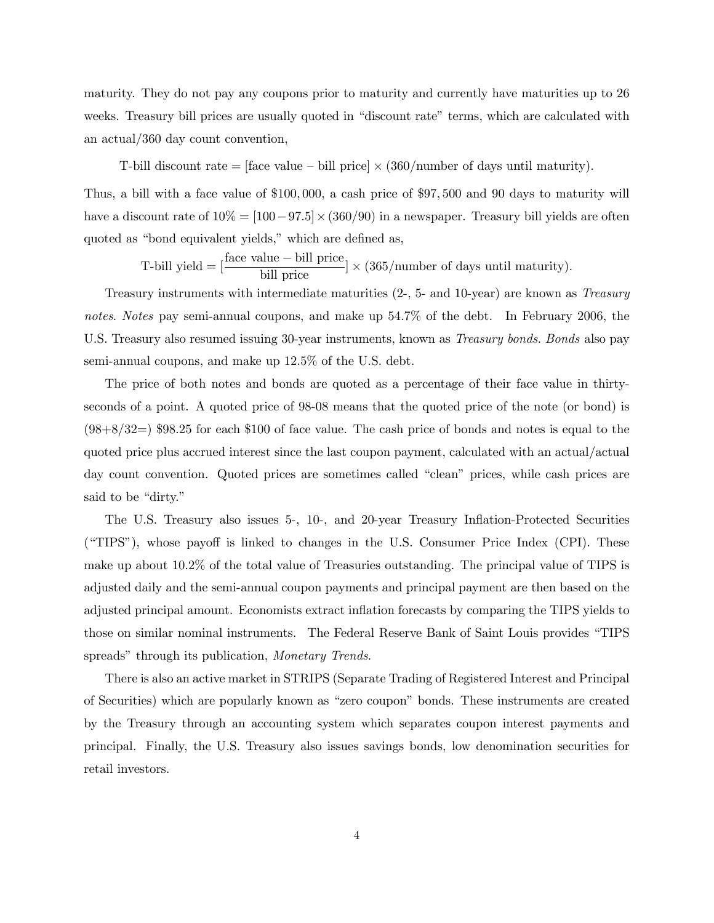maturity. They do not pay any coupons prior to maturity and currently have maturities up to 26 weeks. Treasury bill prices are usually quoted in "discount rate" terms, which are calculated with an actual/360 day count convention,

T-bill discount rate = [face value – bill price]  $\times$  (360/number of days until maturity).

Thus, a bill with a face value of \$100, 000, a cash price of \$97, 500 and 90 days to maturity will have a discount rate of  $10\% = [100 - 97.5] \times (360/90)$  in a newspaper. Treasury bill yields are often quoted as "bond equivalent yields," which are defined as,

T-bill yield =  $\left[\frac{\text{face value} - \text{bill price}}{\text{bill price}}\right] \times (365/\text{number of days until maturity}).$ 

Treasury instruments with intermediate maturities  $(2, 5-$  and 10-year) are known as Treasury notes. Notes pay semi-annual coupons, and make up 54.7% of the debt. In February 2006, the U.S. Treasury also resumed issuing 30-year instruments, known as *Treasury bonds*. Bonds also pay semi-annual coupons, and make up 12.5% of the U.S. debt.

The price of both notes and bonds are quoted as a percentage of their face value in thirtyseconds of a point. A quoted price of 98-08 means that the quoted price of the note (or bond) is  $(98+8/32=)$  \$98.25 for each \$100 of face value. The cash price of bonds and notes is equal to the quoted price plus accrued interest since the last coupon payment, calculated with an actual/actual day count convention. Quoted prices are sometimes called "clean" prices, while cash prices are said to be "dirty."

The U.S. Treasury also issues 5-, 10-, and 20-year Treasury Inflation-Protected Securities ("TIPS"), whose payoff is linked to changes in the U.S. Consumer Price Index (CPI). These make up about 10.2% of the total value of Treasuries outstanding. The principal value of TIPS is adjusted daily and the semi-annual coupon payments and principal payment are then based on the adjusted principal amount. Economists extract inflation forecasts by comparing the TIPS yields to those on similar nominal instruments. The Federal Reserve Bank of Saint Louis provides "TIPS spreads" through its publication, *Monetary Trends*.

There is also an active market in STRIPS (Separate Trading of Registered Interest and Principal of Securities) which are popularly known as "zero coupon" bonds. These instruments are created by the Treasury through an accounting system which separates coupon interest payments and principal. Finally, the U.S. Treasury also issues savings bonds, low denomination securities for retail investors.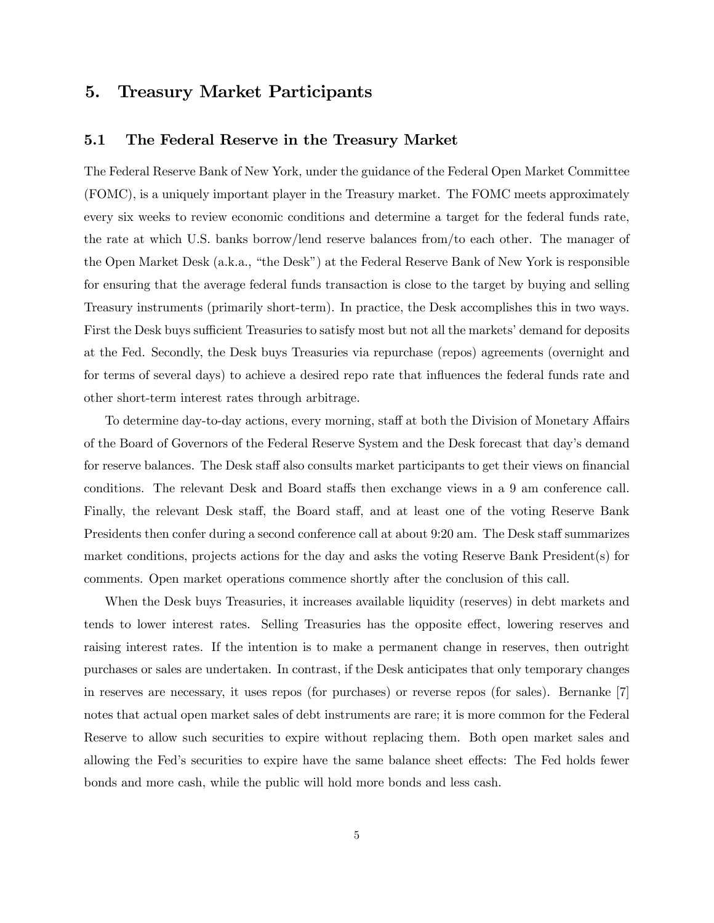## 5. Treasury Market Participants

#### 5.1 The Federal Reserve in the Treasury Market

The Federal Reserve Bank of New York, under the guidance of the Federal Open Market Committee (FOMC), is a uniquely important player in the Treasury market. The FOMC meets approximately every six weeks to review economic conditions and determine a target for the federal funds rate, the rate at which U.S. banks borrow/lend reserve balances from/to each other. The manager of the Open Market Desk (a.k.a., "the Desk") at the Federal Reserve Bank of New York is responsible for ensuring that the average federal funds transaction is close to the target by buying and selling Treasury instruments (primarily short-term). In practice, the Desk accomplishes this in two ways. First the Desk buys sufficient Treasuries to satisfy most but not all the markets' demand for deposits at the Fed. Secondly, the Desk buys Treasuries via repurchase (repos) agreements (overnight and for terms of several days) to achieve a desired repo rate that influences the federal funds rate and other short-term interest rates through arbitrage.

To determine day-to-day actions, every morning, staff at both the Division of Monetary Affairs of the Board of Governors of the Federal Reserve System and the Desk forecast that day's demand for reserve balances. The Desk staff also consults market participants to get their views on financial conditions. The relevant Desk and Board staffs then exchange views in a 9 am conference call. Finally, the relevant Desk staff, the Board staff, and at least one of the voting Reserve Bank Presidents then confer during a second conference call at about 9:20 am. The Desk staff summarizes market conditions, projects actions for the day and asks the voting Reserve Bank President(s) for comments. Open market operations commence shortly after the conclusion of this call.

When the Desk buys Treasuries, it increases available liquidity (reserves) in debt markets and tends to lower interest rates. Selling Treasuries has the opposite effect, lowering reserves and raising interest rates. If the intention is to make a permanent change in reserves, then outright purchases or sales are undertaken. In contrast, if the Desk anticipates that only temporary changes in reserves are necessary, it uses repos (for purchases) or reverse repos (for sales). Bernanke [7] notes that actual open market sales of debt instruments are rare; it is more common for the Federal Reserve to allow such securities to expire without replacing them. Both open market sales and allowing the Fed's securities to expire have the same balance sheet effects: The Fed holds fewer bonds and more cash, while the public will hold more bonds and less cash.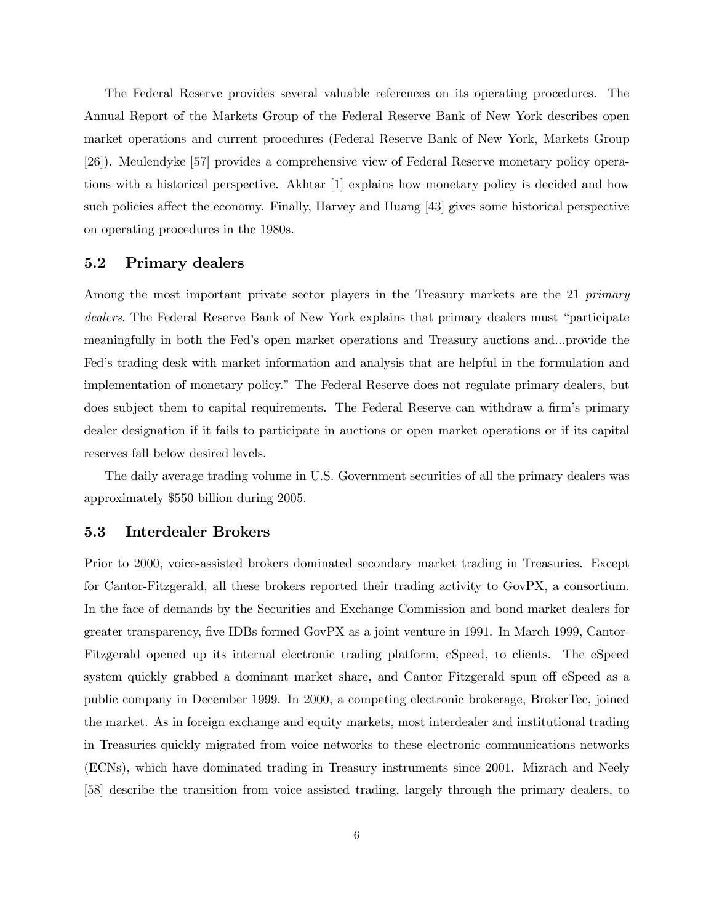The Federal Reserve provides several valuable references on its operating procedures. The Annual Report of the Markets Group of the Federal Reserve Bank of New York describes open market operations and current procedures (Federal Reserve Bank of New York, Markets Group [26]). Meulendyke [57] provides a comprehensive view of Federal Reserve monetary policy operations with a historical perspective. Akhtar [1] explains how monetary policy is decided and how such policies affect the economy. Finally, Harvey and Huang [43] gives some historical perspective on operating procedures in the 1980s.

#### 5.2 Primary dealers

Among the most important private sector players in the Treasury markets are the 21 primary dealers. The Federal Reserve Bank of New York explains that primary dealers must "participate meaningfully in both the Fed's open market operations and Treasury auctions and...provide the Fed's trading desk with market information and analysis that are helpful in the formulation and implementation of monetary policy." The Federal Reserve does not regulate primary dealers, but does subject them to capital requirements. The Federal Reserve can withdraw a firm's primary dealer designation if it fails to participate in auctions or open market operations or if its capital reserves fall below desired levels.

The daily average trading volume in U.S. Government securities of all the primary dealers was approximately \$550 billion during 2005.

### 5.3 Interdealer Brokers

Prior to 2000, voice-assisted brokers dominated secondary market trading in Treasuries. Except for Cantor-Fitzgerald, all these brokers reported their trading activity to GovPX, a consortium. In the face of demands by the Securities and Exchange Commission and bond market dealers for greater transparency, five IDBs formed GovPX as a joint venture in 1991. In March 1999, Cantor-Fitzgerald opened up its internal electronic trading platform, eSpeed, to clients. The eSpeed system quickly grabbed a dominant market share, and Cantor Fitzgerald spun off eSpeed as a public company in December 1999. In 2000, a competing electronic brokerage, BrokerTec, joined the market. As in foreign exchange and equity markets, most interdealer and institutional trading in Treasuries quickly migrated from voice networks to these electronic communications networks (ECNs), which have dominated trading in Treasury instruments since 2001. Mizrach and Neely [58] describe the transition from voice assisted trading, largely through the primary dealers, to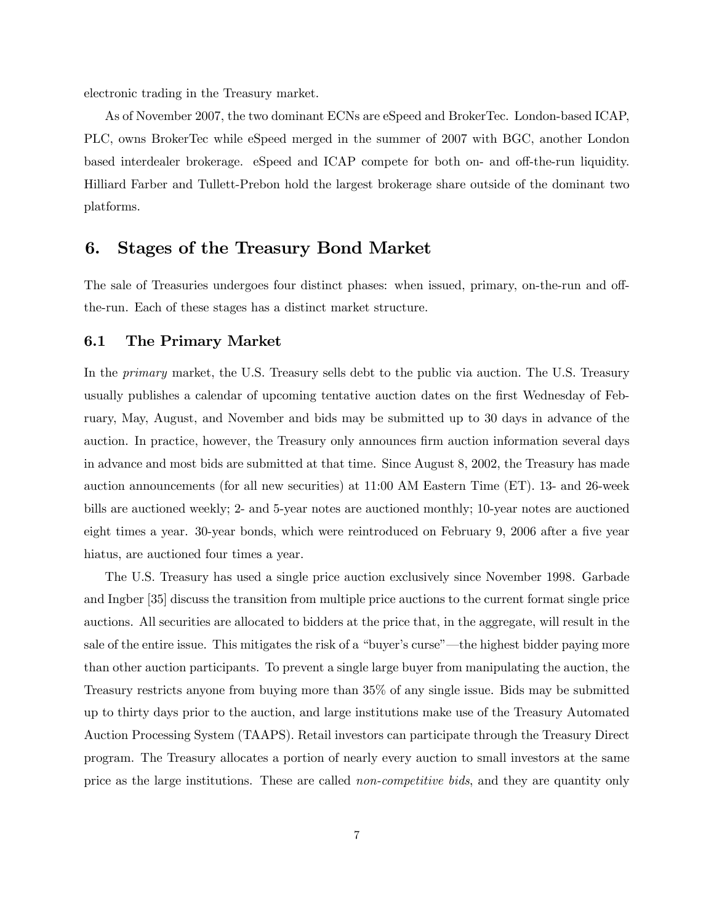electronic trading in the Treasury market.

As of November 2007, the two dominant ECNs are eSpeed and BrokerTec. London-based ICAP, PLC, owns BrokerTec while eSpeed merged in the summer of 2007 with BGC, another London based interdealer brokerage. eSpeed and ICAP compete for both on- and off-the-run liquidity. Hilliard Farber and Tullett-Prebon hold the largest brokerage share outside of the dominant two platforms.

### 6. Stages of the Treasury Bond Market

The sale of Treasuries undergoes four distinct phases: when issued, primary, on-the-run and offthe-run. Each of these stages has a distinct market structure.

#### 6.1 The Primary Market

In the *primary* market, the U.S. Treasury sells debt to the public via auction. The U.S. Treasury usually publishes a calendar of upcoming tentative auction dates on the first Wednesday of February, May, August, and November and bids may be submitted up to 30 days in advance of the auction. In practice, however, the Treasury only announces firm auction information several days in advance and most bids are submitted at that time. Since August 8, 2002, the Treasury has made auction announcements (for all new securities) at 11:00 AM Eastern Time (ET). 13- and 26-week bills are auctioned weekly; 2- and 5-year notes are auctioned monthly; 10-year notes are auctioned eight times a year. 30-year bonds, which were reintroduced on February 9, 2006 after a five year hiatus, are auctioned four times a year.

The U.S. Treasury has used a single price auction exclusively since November 1998. Garbade and Ingber [35] discuss the transition from multiple price auctions to the current format single price auctions. All securities are allocated to bidders at the price that, in the aggregate, will result in the sale of the entire issue. This mitigates the risk of a "buyer's curse"–the highest bidder paying more than other auction participants. To prevent a single large buyer from manipulating the auction, the Treasury restricts anyone from buying more than 35% of any single issue. Bids may be submitted up to thirty days prior to the auction, and large institutions make use of the Treasury Automated Auction Processing System (TAAPS). Retail investors can participate through the Treasury Direct program. The Treasury allocates a portion of nearly every auction to small investors at the same price as the large institutions. These are called non-competitive bids, and they are quantity only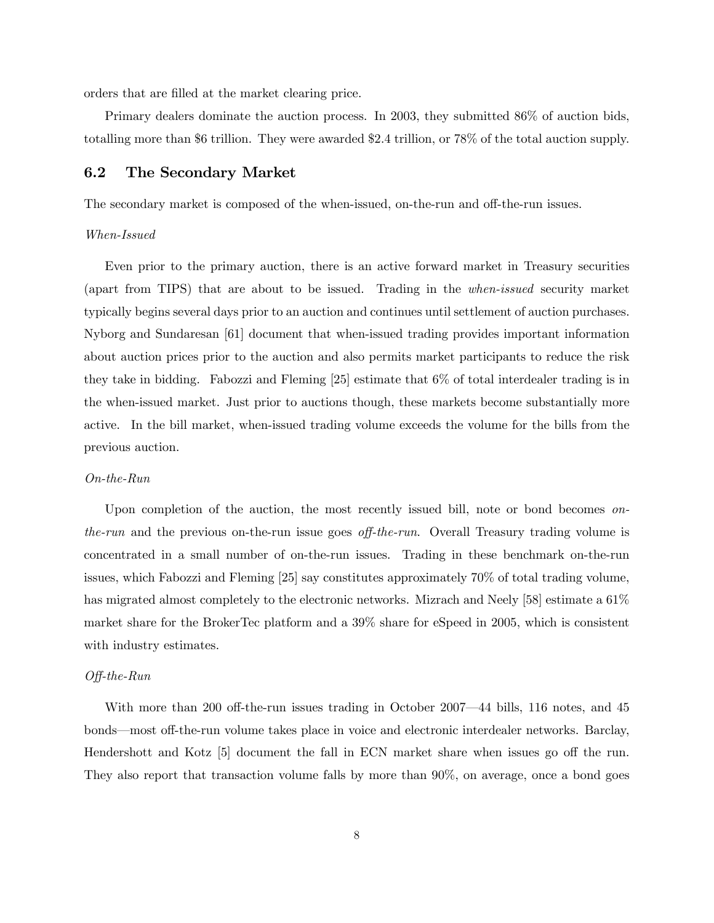orders that are filled at the market clearing price.

Primary dealers dominate the auction process. In 2003, they submitted 86% of auction bids, totalling more than \$6 trillion. They were awarded \$2.4 trillion, or 78% of the total auction supply.

### 6.2 The Secondary Market

The secondary market is composed of the when-issued, on-the-run and off-the-run issues.

#### When-Issued

Even prior to the primary auction, there is an active forward market in Treasury securities (apart from TIPS) that are about to be issued. Trading in the when-issued security market typically begins several days prior to an auction and continues until settlement of auction purchases. Nyborg and Sundaresan [61] document that when-issued trading provides important information about auction prices prior to the auction and also permits market participants to reduce the risk they take in bidding. Fabozzi and Fleming [25] estimate that 6% of total interdealer trading is in the when-issued market. Just prior to auctions though, these markets become substantially more active. In the bill market, when-issued trading volume exceeds the volume for the bills from the previous auction.

#### On-the-Run

Upon completion of the auction, the most recently issued bill, note or bond becomes *on*the-run and the previous on-the-run issue goes off-the-run. Overall Treasury trading volume is concentrated in a small number of on-the-run issues. Trading in these benchmark on-the-run issues, which Fabozzi and Fleming [25] say constitutes approximately 70% of total trading volume, has migrated almost completely to the electronic networks. Mizrach and Neely [58] estimate a 61% market share for the BrokerTec platform and a 39% share for eSpeed in 2005, which is consistent with industry estimates.

#### Off-the-Run

With more than 200 off-the-run issues trading in October 2007–44 bills, 116 notes, and 45 bonds–most off-the-run volume takes place in voice and electronic interdealer networks. Barclay, Hendershott and Kotz [5] document the fall in ECN market share when issues go off the run. They also report that transaction volume falls by more than 90%, on average, once a bond goes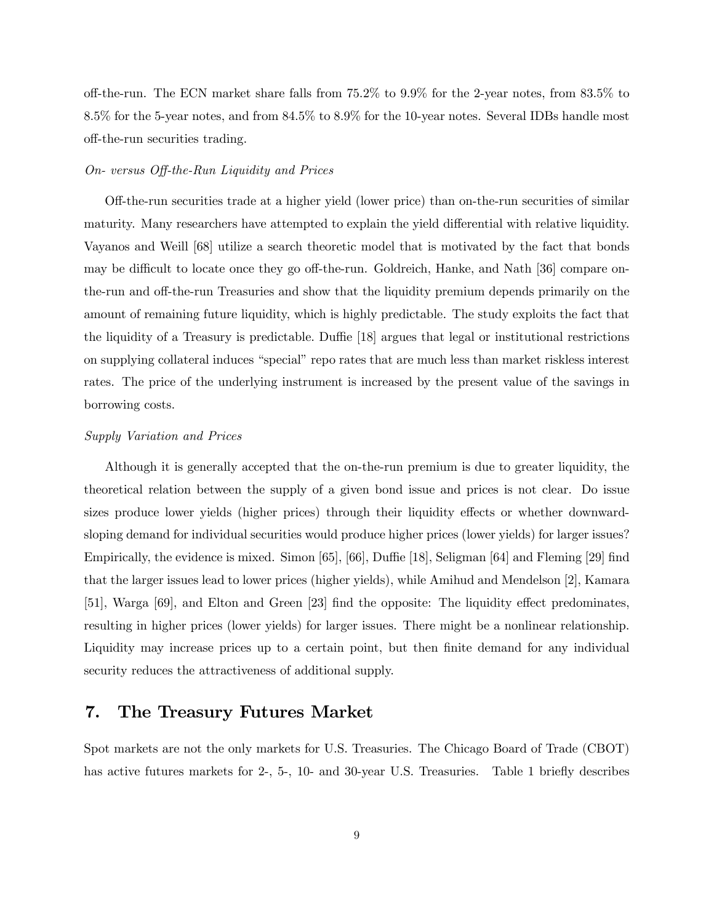off-the-run. The ECN market share falls from 75.2% to 9.9% for the 2-year notes, from 83.5% to 8.5% for the 5-year notes, and from 84.5% to 8.9% for the 10-year notes. Several IDBs handle most off-the-run securities trading.

#### On- versus Off-the-Run Liquidity and Prices

Off-the-run securities trade at a higher yield (lower price) than on-the-run securities of similar maturity. Many researchers have attempted to explain the yield differential with relative liquidity. Vayanos and Weill [68] utilize a search theoretic model that is motivated by the fact that bonds may be difficult to locate once they go off-the-run. Goldreich, Hanke, and Nath [36] compare onthe-run and off-the-run Treasuries and show that the liquidity premium depends primarily on the amount of remaining future liquidity, which is highly predictable. The study exploits the fact that the liquidity of a Treasury is predictable. Duffie [18] argues that legal or institutional restrictions on supplying collateral induces "special" repo rates that are much less than market riskless interest rates. The price of the underlying instrument is increased by the present value of the savings in borrowing costs.

#### Supply Variation and Prices

Although it is generally accepted that the on-the-run premium is due to greater liquidity, the theoretical relation between the supply of a given bond issue and prices is not clear. Do issue sizes produce lower yields (higher prices) through their liquidity effects or whether downwardsloping demand for individual securities would produce higher prices (lower yields) for larger issues? Empirically, the evidence is mixed. Simon [65], [66], Duffie [18], Seligman [64] and Fleming [29] find that the larger issues lead to lower prices (higher yields), while Amihud and Mendelson [2], Kamara [51], Warga [69], and Elton and Green [23] find the opposite: The liquidity effect predominates, resulting in higher prices (lower yields) for larger issues. There might be a nonlinear relationship. Liquidity may increase prices up to a certain point, but then finite demand for any individual security reduces the attractiveness of additional supply.

### 7. The Treasury Futures Market

Spot markets are not the only markets for U.S. Treasuries. The Chicago Board of Trade (CBOT) has active futures markets for 2-, 5-, 10- and 30-year U.S. Treasuries. Table 1 briefly describes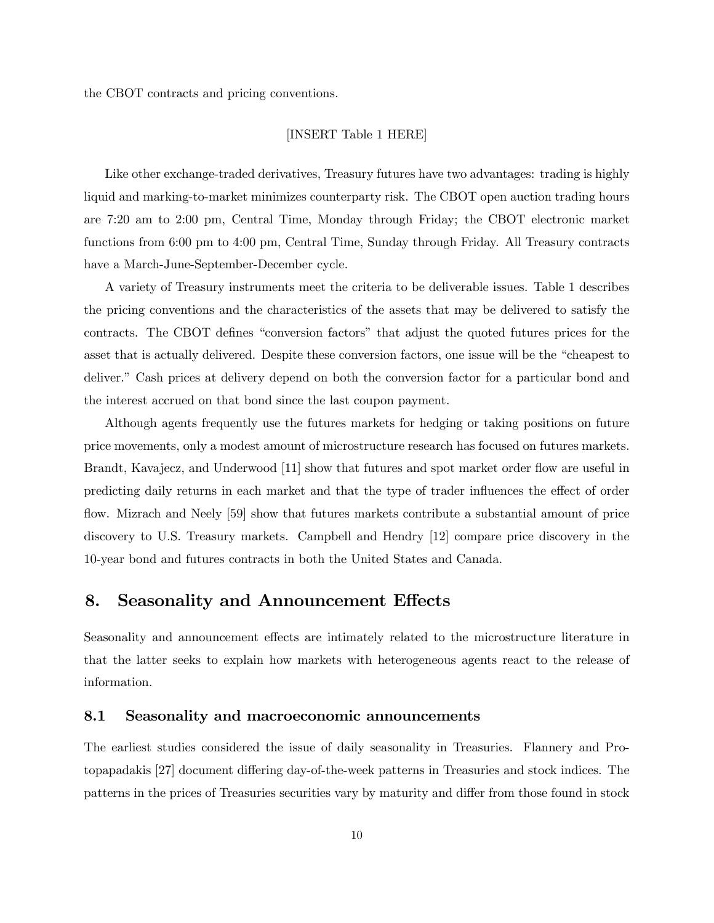the CBOT contracts and pricing conventions.

#### [INSERT Table 1 HERE]

Like other exchange-traded derivatives, Treasury futures have two advantages: trading is highly liquid and marking-to-market minimizes counterparty risk. The CBOT open auction trading hours are 7:20 am to 2:00 pm, Central Time, Monday through Friday; the CBOT electronic market functions from 6:00 pm to 4:00 pm, Central Time, Sunday through Friday. All Treasury contracts have a March-June-September-December cycle.

A variety of Treasury instruments meet the criteria to be deliverable issues. Table 1 describes the pricing conventions and the characteristics of the assets that may be delivered to satisfy the contracts. The CBOT defines "conversion factors" that adjust the quoted futures prices for the asset that is actually delivered. Despite these conversion factors, one issue will be the "cheapest to deliver." Cash prices at delivery depend on both the conversion factor for a particular bond and the interest accrued on that bond since the last coupon payment.

Although agents frequently use the futures markets for hedging or taking positions on future price movements, only a modest amount of microstructure research has focused on futures markets. Brandt, Kavajecz, and Underwood [11] show that futures and spot market order flow are useful in predicting daily returns in each market and that the type of trader influences the effect of order flow. Mizrach and Neely [59] show that futures markets contribute a substantial amount of price discovery to U.S. Treasury markets. Campbell and Hendry [12] compare price discovery in the 10-year bond and futures contracts in both the United States and Canada.

### 8. Seasonality and Announcement Effects

Seasonality and announcement effects are intimately related to the microstructure literature in that the latter seeks to explain how markets with heterogeneous agents react to the release of information.

#### 8.1 Seasonality and macroeconomic announcements

The earliest studies considered the issue of daily seasonality in Treasuries. Flannery and Protopapadakis [27] document differing day-of-the-week patterns in Treasuries and stock indices. The patterns in the prices of Treasuries securities vary by maturity and differ from those found in stock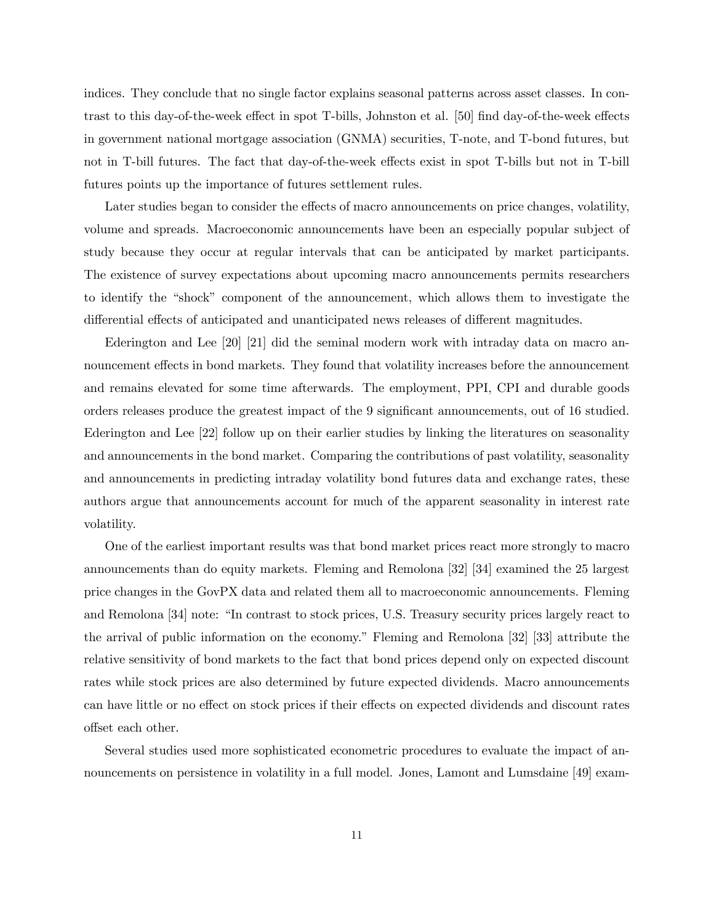indices. They conclude that no single factor explains seasonal patterns across asset classes. In contrast to this day-of-the-week effect in spot T-bills, Johnston et al. [50] find day-of-the-week effects in government national mortgage association (GNMA) securities, T-note, and T-bond futures, but not in T-bill futures. The fact that day-of-the-week effects exist in spot T-bills but not in T-bill futures points up the importance of futures settlement rules.

Later studies began to consider the effects of macro announcements on price changes, volatility, volume and spreads. Macroeconomic announcements have been an especially popular subject of study because they occur at regular intervals that can be anticipated by market participants. The existence of survey expectations about upcoming macro announcements permits researchers to identify the "shock" component of the announcement, which allows them to investigate the differential effects of anticipated and unanticipated news releases of different magnitudes.

Ederington and Lee [20] [21] did the seminal modern work with intraday data on macro announcement effects in bond markets. They found that volatility increases before the announcement and remains elevated for some time afterwards. The employment, PPI, CPI and durable goods orders releases produce the greatest impact of the 9 significant announcements, out of 16 studied. Ederington and Lee [22] follow up on their earlier studies by linking the literatures on seasonality and announcements in the bond market. Comparing the contributions of past volatility, seasonality and announcements in predicting intraday volatility bond futures data and exchange rates, these authors argue that announcements account for much of the apparent seasonality in interest rate volatility.

One of the earliest important results was that bond market prices react more strongly to macro announcements than do equity markets. Fleming and Remolona [32] [34] examined the 25 largest price changes in the GovPX data and related them all to macroeconomic announcements. Fleming and Remolona [34] note: "In contrast to stock prices, U.S. Treasury security prices largely react to the arrival of public information on the economy." Fleming and Remolona [32] [33] attribute the relative sensitivity of bond markets to the fact that bond prices depend only on expected discount rates while stock prices are also determined by future expected dividends. Macro announcements can have little or no effect on stock prices if their effects on expected dividends and discount rates offset each other.

Several studies used more sophisticated econometric procedures to evaluate the impact of announcements on persistence in volatility in a full model. Jones, Lamont and Lumsdaine [49] exam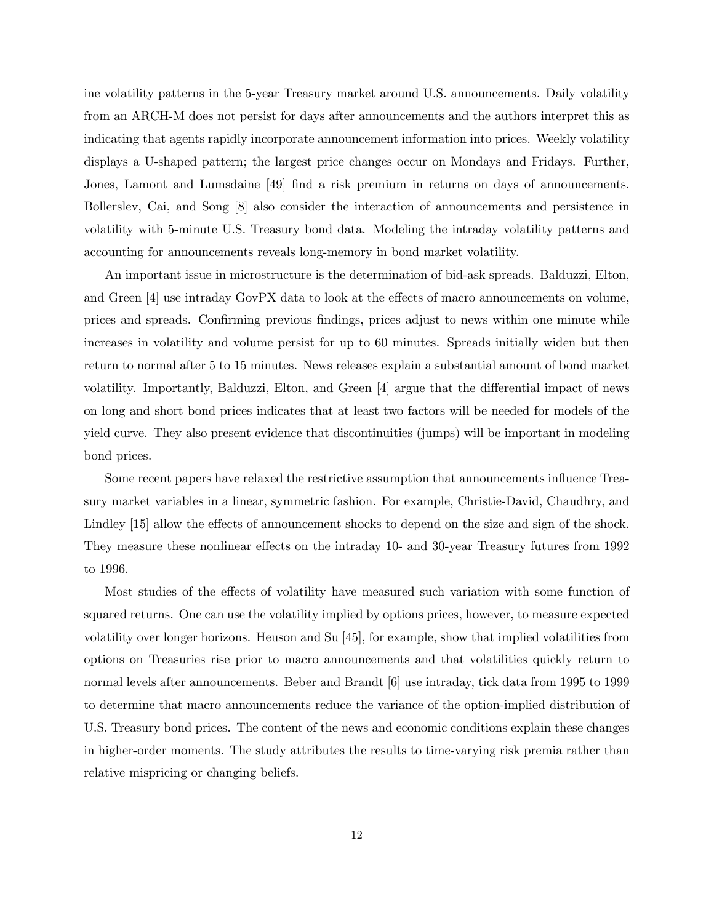ine volatility patterns in the 5-year Treasury market around U.S. announcements. Daily volatility from an ARCH-M does not persist for days after announcements and the authors interpret this as indicating that agents rapidly incorporate announcement information into prices. Weekly volatility displays a U-shaped pattern; the largest price changes occur on Mondays and Fridays. Further, Jones, Lamont and Lumsdaine [49] find a risk premium in returns on days of announcements. Bollerslev, Cai, and Song [8] also consider the interaction of announcements and persistence in volatility with 5-minute U.S. Treasury bond data. Modeling the intraday volatility patterns and accounting for announcements reveals long-memory in bond market volatility.

An important issue in microstructure is the determination of bid-ask spreads. Balduzzi, Elton, and Green [4] use intraday GovPX data to look at the effects of macro announcements on volume, prices and spreads. Confirming previous findings, prices adjust to news within one minute while increases in volatility and volume persist for up to 60 minutes. Spreads initially widen but then return to normal after 5 to 15 minutes. News releases explain a substantial amount of bond market volatility. Importantly, Balduzzi, Elton, and Green [4] argue that the differential impact of news on long and short bond prices indicates that at least two factors will be needed for models of the yield curve. They also present evidence that discontinuities (jumps) will be important in modeling bond prices.

Some recent papers have relaxed the restrictive assumption that announcements influence Treasury market variables in a linear, symmetric fashion. For example, Christie-David, Chaudhry, and Lindley [15] allow the effects of announcement shocks to depend on the size and sign of the shock. They measure these nonlinear effects on the intraday 10- and 30-year Treasury futures from 1992 to 1996.

Most studies of the effects of volatility have measured such variation with some function of squared returns. One can use the volatility implied by options prices, however, to measure expected volatility over longer horizons. Heuson and Su [45], for example, show that implied volatilities from options on Treasuries rise prior to macro announcements and that volatilities quickly return to normal levels after announcements. Beber and Brandt [6] use intraday, tick data from 1995 to 1999 to determine that macro announcements reduce the variance of the option-implied distribution of U.S. Treasury bond prices. The content of the news and economic conditions explain these changes in higher-order moments. The study attributes the results to time-varying risk premia rather than relative mispricing or changing beliefs.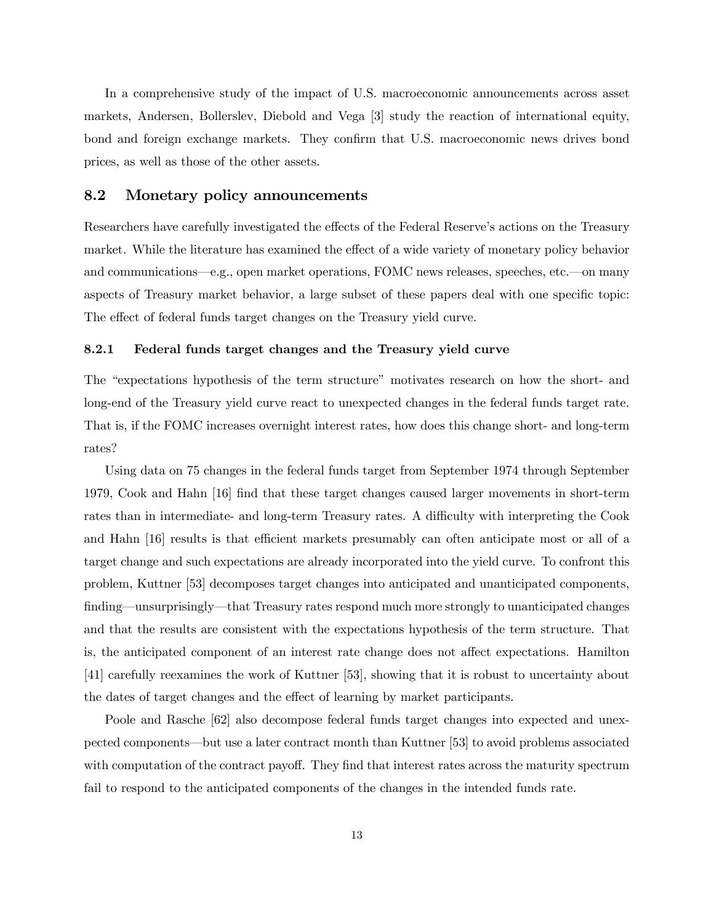In a comprehensive study of the impact of U.S. macroeconomic announcements across asset markets, Andersen, Bollerslev, Diebold and Vega [3] study the reaction of international equity, bond and foreign exchange markets. They confirm that U.S. macroeconomic news drives bond prices, as well as those of the other assets.

### 8.2 Monetary policy announcements

Researchers have carefully investigated the effects of the Federal Reserve's actions on the Treasury market. While the literature has examined the effect of a wide variety of monetary policy behavior and communications–e.g., open market operations, FOMC news releases, speeches, etc.–on many aspects of Treasury market behavior, a large subset of these papers deal with one specific topic: The effect of federal funds target changes on the Treasury yield curve.

#### 8.2.1 Federal funds target changes and the Treasury yield curve

The "expectations hypothesis of the term structure" motivates research on how the short- and long-end of the Treasury yield curve react to unexpected changes in the federal funds target rate. That is, if the FOMC increases overnight interest rates, how does this change short- and long-term rates?

Using data on 75 changes in the federal funds target from September 1974 through September 1979, Cook and Hahn [16] find that these target changes caused larger movements in short-term rates than in intermediate- and long-term Treasury rates. A difficulty with interpreting the Cook and Hahn [16] results is that efficient markets presumably can often anticipate most or all of a target change and such expectations are already incorporated into the yield curve. To confront this problem, Kuttner [53] decomposes target changes into anticipated and unanticipated components, finding–unsurprisingly–that Treasury rates respond much more strongly to unanticipated changes and that the results are consistent with the expectations hypothesis of the term structure. That is, the anticipated component of an interest rate change does not affect expectations. Hamilton [41] carefully reexamines the work of Kuttner [53], showing that it is robust to uncertainty about the dates of target changes and the effect of learning by market participants.

Poole and Rasche [62] also decompose federal funds target changes into expected and unexpected components–but use a later contract month than Kuttner [53] to avoid problems associated with computation of the contract payoff. They find that interest rates across the maturity spectrum fail to respond to the anticipated components of the changes in the intended funds rate.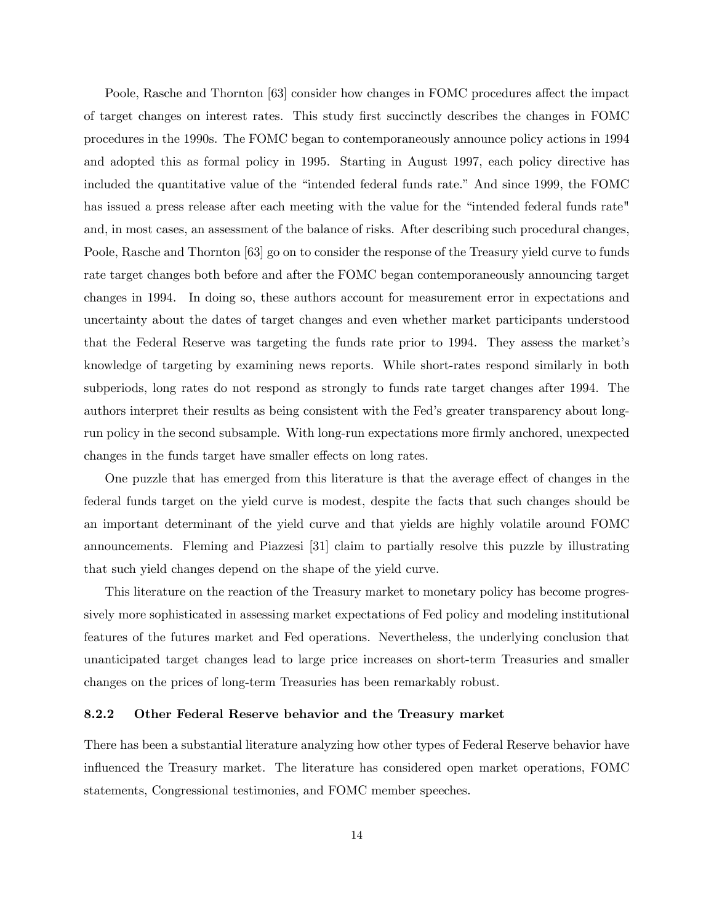Poole, Rasche and Thornton [63] consider how changes in FOMC procedures affect the impact of target changes on interest rates. This study first succinctly describes the changes in FOMC procedures in the 1990s. The FOMC began to contemporaneously announce policy actions in 1994 and adopted this as formal policy in 1995. Starting in August 1997, each policy directive has included the quantitative value of the "intended federal funds rate." And since 1999, the FOMC has issued a press release after each meeting with the value for the "intended federal funds rate" and, in most cases, an assessment of the balance of risks. After describing such procedural changes, Poole, Rasche and Thornton [63] go on to consider the response of the Treasury yield curve to funds rate target changes both before and after the FOMC began contemporaneously announcing target changes in 1994. In doing so, these authors account for measurement error in expectations and uncertainty about the dates of target changes and even whether market participants understood that the Federal Reserve was targeting the funds rate prior to 1994. They assess the market's knowledge of targeting by examining news reports. While short-rates respond similarly in both subperiods, long rates do not respond as strongly to funds rate target changes after 1994. The authors interpret their results as being consistent with the Fed's greater transparency about longrun policy in the second subsample. With long-run expectations more firmly anchored, unexpected changes in the funds target have smaller effects on long rates.

One puzzle that has emerged from this literature is that the average effect of changes in the federal funds target on the yield curve is modest, despite the facts that such changes should be an important determinant of the yield curve and that yields are highly volatile around FOMC announcements. Fleming and Piazzesi [31] claim to partially resolve this puzzle by illustrating that such yield changes depend on the shape of the yield curve.

This literature on the reaction of the Treasury market to monetary policy has become progressively more sophisticated in assessing market expectations of Fed policy and modeling institutional features of the futures market and Fed operations. Nevertheless, the underlying conclusion that unanticipated target changes lead to large price increases on short-term Treasuries and smaller changes on the prices of long-term Treasuries has been remarkably robust.

#### 8.2.2 Other Federal Reserve behavior and the Treasury market

There has been a substantial literature analyzing how other types of Federal Reserve behavior have influenced the Treasury market. The literature has considered open market operations, FOMC statements, Congressional testimonies, and FOMC member speeches.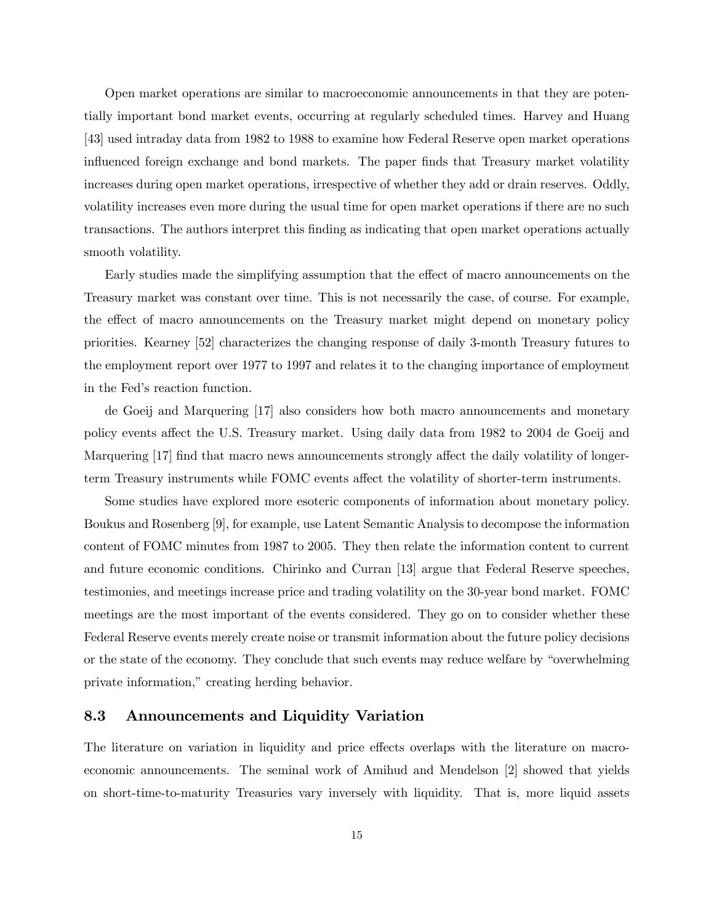Open market operations are similar to macroeconomic announcements in that they are potentially important bond market events, occurring at regularly scheduled times. Harvey and Huang [43] used intraday data from 1982 to 1988 to examine how Federal Reserve open market operations influenced foreign exchange and bond markets. The paper finds that Treasury market volatility increases during open market operations, irrespective of whether they add or drain reserves. Oddly, volatility increases even more during the usual time for open market operations if there are no such transactions. The authors interpret this finding as indicating that open market operations actually smooth volatility.

Early studies made the simplifying assumption that the effect of macro announcements on the Treasury market was constant over time. This is not necessarily the case, of course. For example, the effect of macro announcements on the Treasury market might depend on monetary policy priorities. Kearney [52] characterizes the changing response of daily 3-month Treasury futures to the employment report over 1977 to 1997 and relates it to the changing importance of employment in the Fed's reaction function.

de Goeij and Marquering [17] also considers how both macro announcements and monetary policy events affect the U.S. Treasury market. Using daily data from 1982 to 2004 de Goeij and Marquering [17] find that macro news announcements strongly affect the daily volatility of longerterm Treasury instruments while FOMC events affect the volatility of shorter-term instruments.

Some studies have explored more esoteric components of information about monetary policy. Boukus and Rosenberg [9], for example, use Latent Semantic Analysis to decompose the information content of FOMC minutes from 1987 to 2005. They then relate the information content to current and future economic conditions. Chirinko and Curran [13] argue that Federal Reserve speeches, testimonies, and meetings increase price and trading volatility on the 30-year bond market. FOMC meetings are the most important of the events considered. They go on to consider whether these Federal Reserve events merely create noise or transmit information about the future policy decisions or the state of the economy. They conclude that such events may reduce welfare by "overwhelming private information," creating herding behavior.

#### 8.3 Announcements and Liquidity Variation

The literature on variation in liquidity and price effects overlaps with the literature on macroeconomic announcements. The seminal work of Amihud and Mendelson [2] showed that yields on short-time-to-maturity Treasuries vary inversely with liquidity. That is, more liquid assets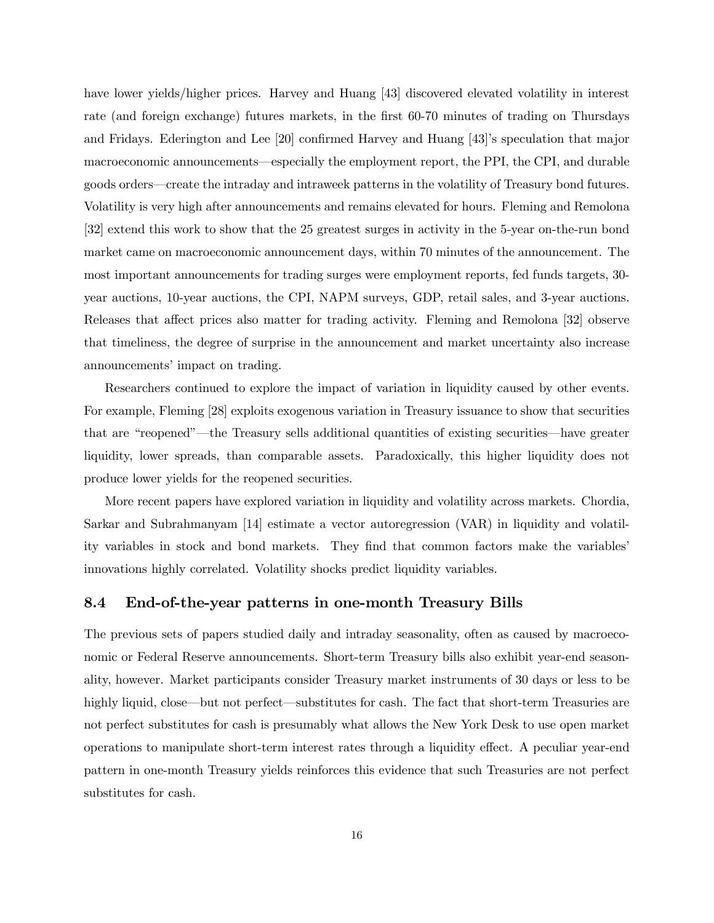have lower yields/higher prices. Harvey and Huang [43] discovered elevated volatility in interest rate (and foreign exchange) futures markets, in the first 60-70 minutes of trading on Thursdays and Fridays. Ederington and Lee [20] confirmed Harvey and Huang [43]'s speculation that major macroeconomic announcements–especially the employment report, the PPI, the CPI, and durable goods orders–create the intraday and intraweek patterns in the volatility of Treasury bond futures. Volatility is very high after announcements and remains elevated for hours. Fleming and Remolona [32] extend this work to show that the 25 greatest surges in activity in the 5-year on-the-run bond market came on macroeconomic announcement days, within 70 minutes of the announcement. The most important announcements for trading surges were employment reports, fed funds targets, 30 year auctions, 10-year auctions, the CPI, NAPM surveys, GDP, retail sales, and 3-year auctions. Releases that affect prices also matter for trading activity. Fleming and Remolona [32] observe that timeliness, the degree of surprise in the announcement and market uncertainty also increase announcements' impact on trading.

Researchers continued to explore the impact of variation in liquidity caused by other events. For example, Fleming [28] exploits exogenous variation in Treasury issuance to show that securities that are "reopened"–the Treasury sells additional quantities of existing securities–have greater liquidity, lower spreads, than comparable assets. Paradoxically, this higher liquidity does not produce lower yields for the reopened securities.

More recent papers have explored variation in liquidity and volatility across markets. Chordia, Sarkar and Subrahmanyam [14] estimate a vector autoregression (VAR) in liquidity and volatility variables in stock and bond markets. They find that common factors make the variables' innovations highly correlated. Volatility shocks predict liquidity variables.

#### 8.4 End-of-the-year patterns in one-month Treasury Bills

The previous sets of papers studied daily and intraday seasonality, often as caused by macroeconomic or Federal Reserve announcements. Short-term Treasury bills also exhibit year-end seasonality, however. Market participants consider Treasury market instruments of 30 days or less to be highly liquid, close—but not perfect—substitutes for cash. The fact that short-term Treasuries are not perfect substitutes for cash is presumably what allows the New York Desk to use open market operations to manipulate short-term interest rates through a liquidity effect. A peculiar year-end pattern in one-month Treasury yields reinforces this evidence that such Treasuries are not perfect substitutes for cash.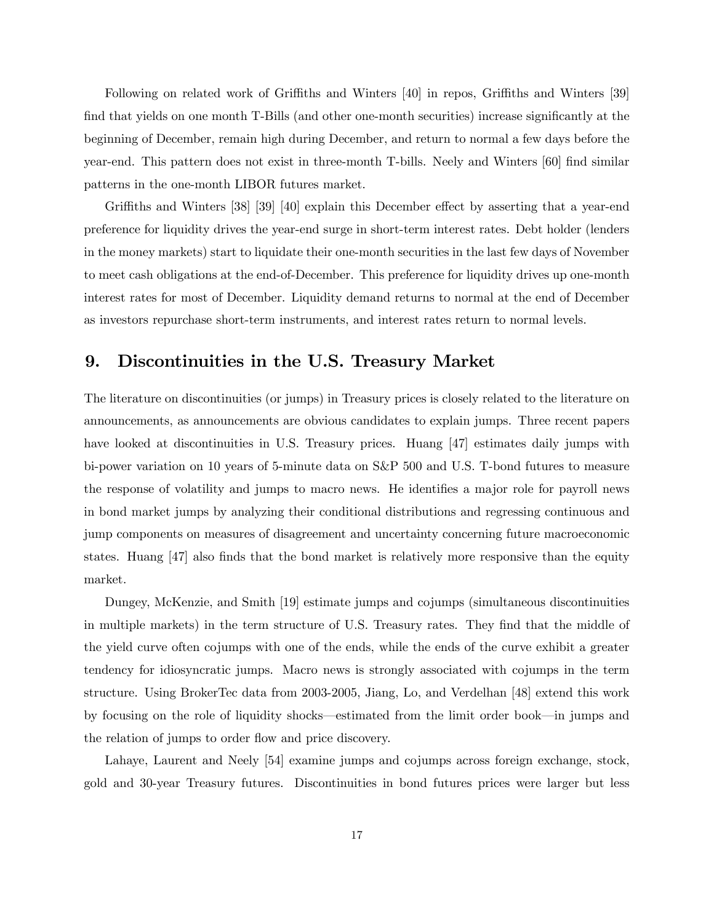Following on related work of Griffiths and Winters [40] in repos, Griffiths and Winters [39] find that yields on one month T-Bills (and other one-month securities) increase significantly at the beginning of December, remain high during December, and return to normal a few days before the year-end. This pattern does not exist in three-month T-bills. Neely and Winters [60] find similar patterns in the one-month LIBOR futures market.

Griffiths and Winters [38] [39] [40] explain this December effect by asserting that a year-end preference for liquidity drives the year-end surge in short-term interest rates. Debt holder (lenders in the money markets) start to liquidate their one-month securities in the last few days of November to meet cash obligations at the end-of-December. This preference for liquidity drives up one-month interest rates for most of December. Liquidity demand returns to normal at the end of December as investors repurchase short-term instruments, and interest rates return to normal levels.

## 9. Discontinuities in the U.S. Treasury Market

The literature on discontinuities (or jumps) in Treasury prices is closely related to the literature on announcements, as announcements are obvious candidates to explain jumps. Three recent papers have looked at discontinuities in U.S. Treasury prices. Huang [47] estimates daily jumps with bi-power variation on 10 years of 5-minute data on S&P 500 and U.S. T-bond futures to measure the response of volatility and jumps to macro news. He identifies a major role for payroll news in bond market jumps by analyzing their conditional distributions and regressing continuous and jump components on measures of disagreement and uncertainty concerning future macroeconomic states. Huang [47] also finds that the bond market is relatively more responsive than the equity market.

Dungey, McKenzie, and Smith [19] estimate jumps and cojumps (simultaneous discontinuities in multiple markets) in the term structure of U.S. Treasury rates. They find that the middle of the yield curve often cojumps with one of the ends, while the ends of the curve exhibit a greater tendency for idiosyncratic jumps. Macro news is strongly associated with cojumps in the term structure. Using BrokerTec data from 2003-2005, Jiang, Lo, and Verdelhan [48] extend this work by focusing on the role of liquidity shocks–estimated from the limit order book–in jumps and the relation of jumps to order flow and price discovery.

Lahaye, Laurent and Neely [54] examine jumps and cojumps across foreign exchange, stock, gold and 30-year Treasury futures. Discontinuities in bond futures prices were larger but less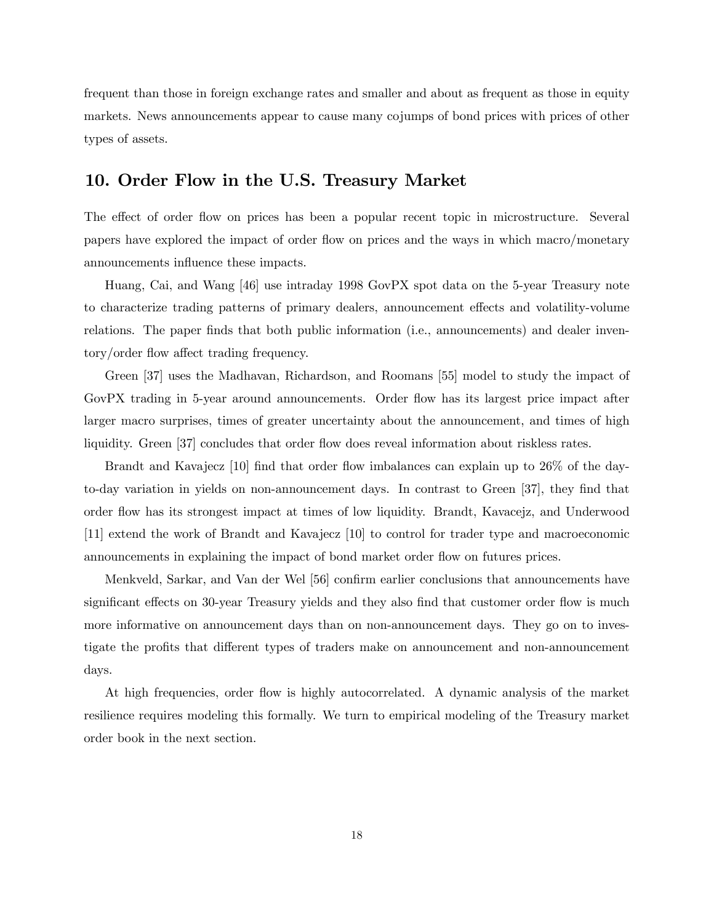frequent than those in foreign exchange rates and smaller and about as frequent as those in equity markets. News announcements appear to cause many cojumps of bond prices with prices of other types of assets.

## 10. Order Flow in the U.S. Treasury Market

The effect of order flow on prices has been a popular recent topic in microstructure. Several papers have explored the impact of order flow on prices and the ways in which macro/monetary announcements influence these impacts.

Huang, Cai, and Wang [46] use intraday 1998 GovPX spot data on the 5-year Treasury note to characterize trading patterns of primary dealers, announcement effects and volatility-volume relations. The paper finds that both public information (i.e., announcements) and dealer inventory/order flow affect trading frequency.

Green [37] uses the Madhavan, Richardson, and Roomans [55] model to study the impact of GovPX trading in 5-year around announcements. Order flow has its largest price impact after larger macro surprises, times of greater uncertainty about the announcement, and times of high liquidity. Green [37] concludes that order flow does reveal information about riskless rates.

Brandt and Kavajecz [10] find that order flow imbalances can explain up to 26% of the dayto-day variation in yields on non-announcement days. In contrast to Green [37], they find that order flow has its strongest impact at times of low liquidity. Brandt, Kavacejz, and Underwood [11] extend the work of Brandt and Kavajecz [10] to control for trader type and macroeconomic announcements in explaining the impact of bond market order flow on futures prices.

Menkveld, Sarkar, and Van der Wel [56] confirm earlier conclusions that announcements have significant effects on 30-year Treasury yields and they also find that customer order flow is much more informative on announcement days than on non-announcement days. They go on to investigate the profits that different types of traders make on announcement and non-announcement days.

At high frequencies, order flow is highly autocorrelated. A dynamic analysis of the market resilience requires modeling this formally. We turn to empirical modeling of the Treasury market order book in the next section.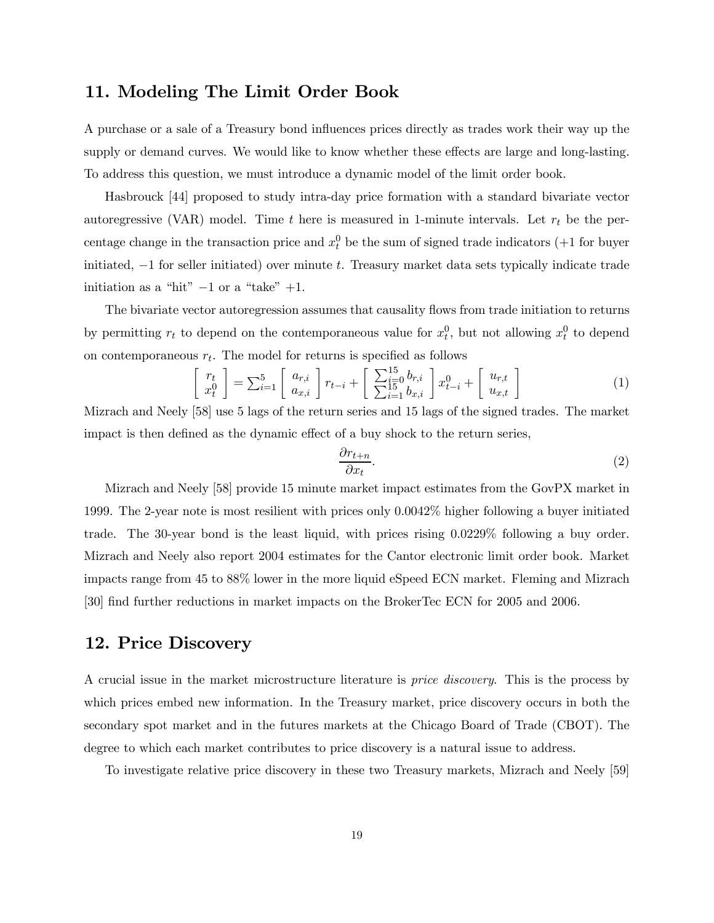## 11. Modeling The Limit Order Book

A purchase or a sale of a Treasury bond influences prices directly as trades work their way up the supply or demand curves. We would like to know whether these effects are large and long-lasting. To address this question, we must introduce a dynamic model of the limit order book.

Hasbrouck [44] proposed to study intra-day price formation with a standard bivariate vector autoregressive (VAR) model. Time t here is measured in 1-minute intervals. Let  $r_t$  be the percentage change in the transaction price and  $x_t^0$  be the sum of signed trade indicators (+1 for buyer initiated, −1 for seller initiated) over minute t. Treasury market data sets typically indicate trade initiation as a "hit"  $-1$  or a "take"  $+1$ .

The bivariate vector autoregression assumes that causality flows from trade initiation to returns by permitting  $r_t$  to depend on the contemporaneous value for  $x_t^0$ , but not allowing  $x_t^0$  to depend on contemporaneous  $r_t$ . The model for returns is specified as follows

$$
\begin{bmatrix} r_t \\ x_t^0 \end{bmatrix} = \sum_{i=1}^5 \begin{bmatrix} a_{r,i} \\ a_{x,i} \end{bmatrix} r_{t-i} + \begin{bmatrix} \sum_{i=0}^{15} b_{r,i} \\ \sum_{i=1}^{15} b_{x,i} \end{bmatrix} x_{t-i}^0 + \begin{bmatrix} u_{r,t} \\ u_{x,t} \end{bmatrix}
$$
 (1)

Mizrach and Neely [58] use 5 lags of the return series and 15 lags of the signed trades. The market impact is then defined as the dynamic effect of a buy shock to the return series,

$$
\frac{\partial r_{t+n}}{\partial x_t}.\tag{2}
$$

Mizrach and Neely [58] provide 15 minute market impact estimates from the GovPX market in 1999. The 2-year note is most resilient with prices only 0.0042% higher following a buyer initiated trade. The 30-year bond is the least liquid, with prices rising 0.0229% following a buy order. Mizrach and Neely also report 2004 estimates for the Cantor electronic limit order book. Market impacts range from 45 to 88% lower in the more liquid eSpeed ECN market. Fleming and Mizrach [30] find further reductions in market impacts on the BrokerTec ECN for 2005 and 2006.

## 12. Price Discovery

A crucial issue in the market microstructure literature is price discovery. This is the process by which prices embed new information. In the Treasury market, price discovery occurs in both the secondary spot market and in the futures markets at the Chicago Board of Trade (CBOT). The degree to which each market contributes to price discovery is a natural issue to address.

To investigate relative price discovery in these two Treasury markets, Mizrach and Neely [59]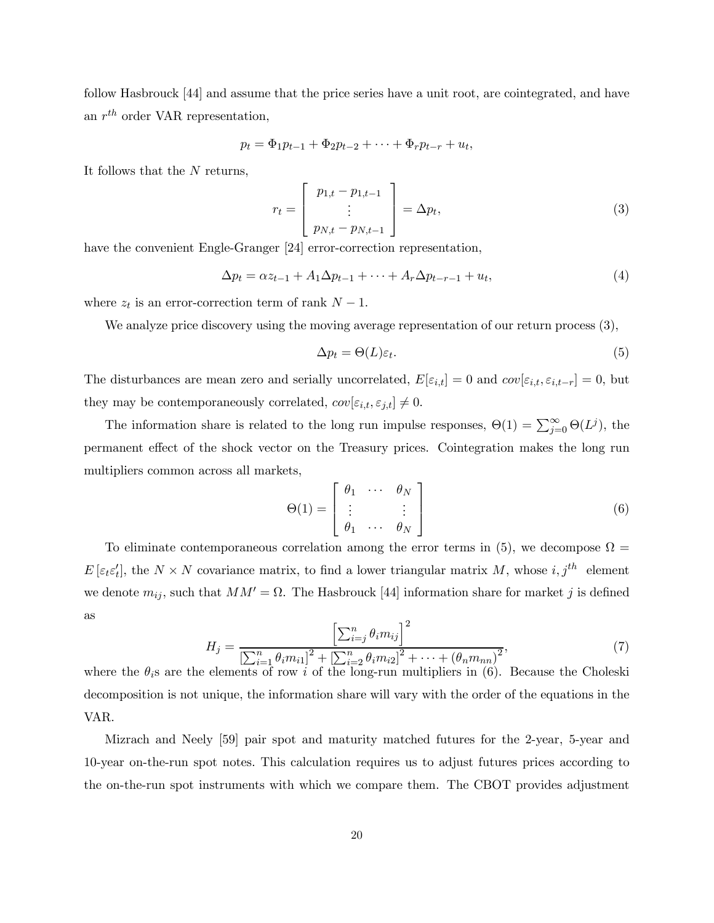follow Hasbrouck [44] and assume that the price series have a unit root, are cointegrated, and have an  $r^{th}$  order VAR representation,

$$
p_t = \Phi_1 p_{t-1} + \Phi_2 p_{t-2} + \cdots + \Phi_r p_{t-r} + u_t,
$$

It follows that the N returns,

$$
r_t = \begin{bmatrix} p_{1,t} - p_{1,t-1} \\ \vdots \\ p_{N,t} - p_{N,t-1} \end{bmatrix} = \Delta p_t,
$$
\n(3)

have the convenient Engle-Granger [24] error-correction representation,

$$
\Delta p_t = \alpha z_{t-1} + A_1 \Delta p_{t-1} + \dots + A_r \Delta p_{t-r-1} + u_t,\tag{4}
$$

where  $z_t$  is an error-correction term of rank  $N-1$ .

We analyze price discovery using the moving average representation of our return process  $(3)$ ,

$$
\Delta p_t = \Theta(L)\varepsilon_t. \tag{5}
$$

The disturbances are mean zero and serially uncorrelated,  $E[\varepsilon_{i,t}] = 0$  and  $cov[\varepsilon_{i,t}, \varepsilon_{i,t-r}] = 0$ , but they may be contemporaneously correlated,  $cov[\varepsilon_{i,t}, \varepsilon_{j,t}] \neq 0$ .

The information share is related to the long run impulse responses,  $\Theta(1) = \sum_{j=0}^{\infty} \Theta(L^{j})$ , the permanent effect of the shock vector on the Treasury prices. Cointegration makes the long run multipliers common across all markets,

$$
\Theta(1) = \begin{bmatrix} \theta_1 & \cdots & \theta_N \\ \vdots & & \vdots \\ \theta_1 & \cdots & \theta_N \end{bmatrix} \tag{6}
$$

To eliminate contemporaneous correlation among the error terms in (5), we decompose  $\Omega =$  $E\left[\varepsilon_t\varepsilon_t'\right]$  $t'_{t}$ , the  $N \times N$  covariance matrix, to find a lower triangular matrix M, whose  $i, j<sup>th</sup>$  element we denote  $m_{ij}$ , such that  $MM' = \Omega$ . The Hasbrouck [44] information share for market j is defined as

$$
H_j = \frac{\left[\sum_{i=j}^n \theta_i m_{ij}\right]^2}{\left[\sum_{i=1}^n \theta_i m_{i1}\right]^2 + \left[\sum_{i=2}^n \theta_i m_{i2}\right]^2 + \dots + \left(\theta_n m_{nn}\right)^2},\tag{7}
$$

where the  $\theta_i$ s are the elements of row i of the long-run multipliers in (6). Because the Choleski decomposition is not unique, the information share will vary with the order of the equations in the VAR.

Mizrach and Neely [59] pair spot and maturity matched futures for the 2-year, 5-year and 10-year on-the-run spot notes. This calculation requires us to adjust futures prices according to the on-the-run spot instruments with which we compare them. The CBOT provides adjustment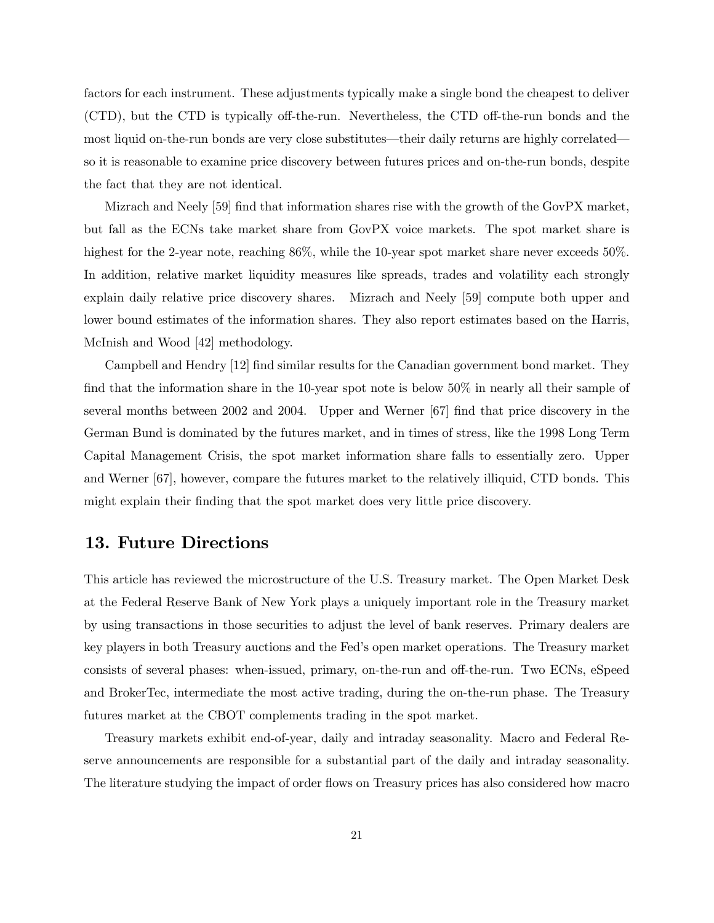factors for each instrument. These adjustments typically make a single bond the cheapest to deliver (CTD), but the CTD is typically off-the-run. Nevertheless, the CTD off-the-run bonds and the most liquid on-the-run bonds are very close substitutes–their daily returns are highly correlated– so it is reasonable to examine price discovery between futures prices and on-the-run bonds, despite the fact that they are not identical.

Mizrach and Neely [59] find that information shares rise with the growth of the GovPX market, but fall as the ECNs take market share from GovPX voice markets. The spot market share is highest for the 2-year note, reaching 86%, while the 10-year spot market share never exceeds 50%. In addition, relative market liquidity measures like spreads, trades and volatility each strongly explain daily relative price discovery shares. Mizrach and Neely [59] compute both upper and lower bound estimates of the information shares. They also report estimates based on the Harris, McInish and Wood [42] methodology.

Campbell and Hendry [12] find similar results for the Canadian government bond market. They find that the information share in the 10-year spot note is below 50% in nearly all their sample of several months between 2002 and 2004. Upper and Werner [67] find that price discovery in the German Bund is dominated by the futures market, and in times of stress, like the 1998 Long Term Capital Management Crisis, the spot market information share falls to essentially zero. Upper and Werner [67], however, compare the futures market to the relatively illiquid, CTD bonds. This might explain their finding that the spot market does very little price discovery.

### 13. Future Directions

This article has reviewed the microstructure of the U.S. Treasury market. The Open Market Desk at the Federal Reserve Bank of New York plays a uniquely important role in the Treasury market by using transactions in those securities to adjust the level of bank reserves. Primary dealers are key players in both Treasury auctions and the Fed's open market operations. The Treasury market consists of several phases: when-issued, primary, on-the-run and off-the-run. Two ECNs, eSpeed and BrokerTec, intermediate the most active trading, during the on-the-run phase. The Treasury futures market at the CBOT complements trading in the spot market.

Treasury markets exhibit end-of-year, daily and intraday seasonality. Macro and Federal Reserve announcements are responsible for a substantial part of the daily and intraday seasonality. The literature studying the impact of order flows on Treasury prices has also considered how macro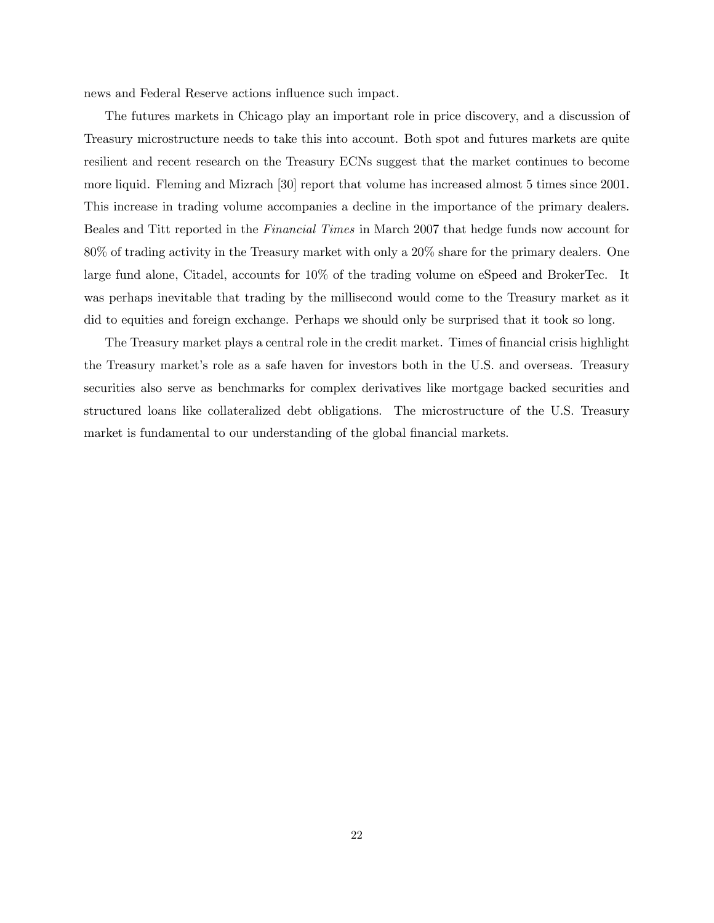news and Federal Reserve actions influence such impact.

The futures markets in Chicago play an important role in price discovery, and a discussion of Treasury microstructure needs to take this into account. Both spot and futures markets are quite resilient and recent research on the Treasury ECNs suggest that the market continues to become more liquid. Fleming and Mizrach [30] report that volume has increased almost 5 times since 2001. This increase in trading volume accompanies a decline in the importance of the primary dealers. Beales and Titt reported in the Financial Times in March 2007 that hedge funds now account for 80% of trading activity in the Treasury market with only a 20% share for the primary dealers. One large fund alone, Citadel, accounts for 10% of the trading volume on eSpeed and BrokerTec. It was perhaps inevitable that trading by the millisecond would come to the Treasury market as it did to equities and foreign exchange. Perhaps we should only be surprised that it took so long.

The Treasury market plays a central role in the credit market. Times of financial crisis highlight the Treasury market's role as a safe haven for investors both in the U.S. and overseas. Treasury securities also serve as benchmarks for complex derivatives like mortgage backed securities and structured loans like collateralized debt obligations. The microstructure of the U.S. Treasury market is fundamental to our understanding of the global financial markets.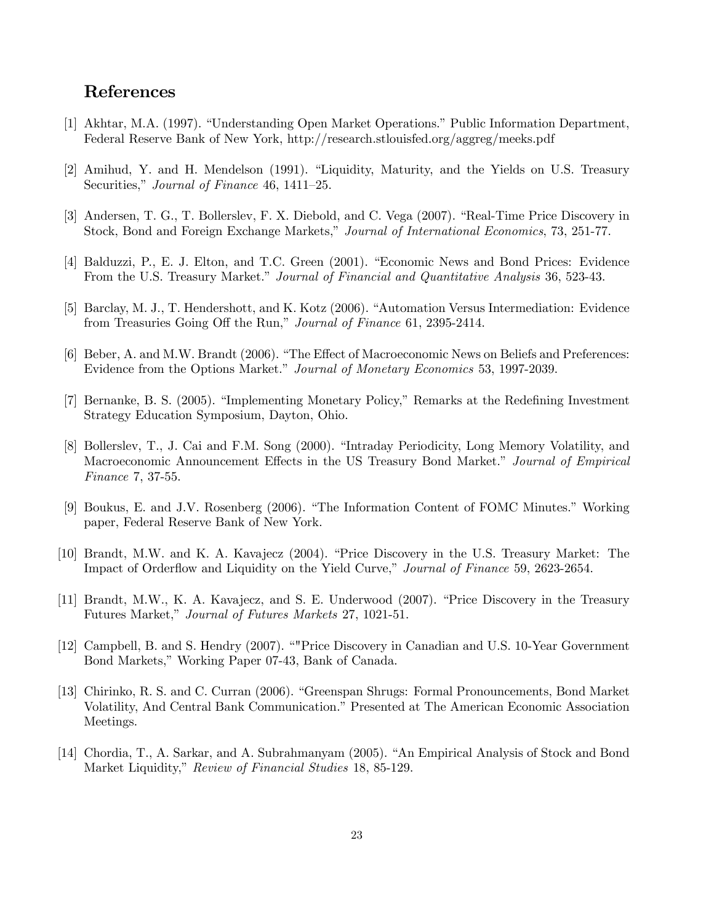## References

- [1] Akhtar, M.A. (1997). "Understanding Open Market Operations." Public Information Department, Federal Reserve Bank of New York, http://research.stlouisfed.org/aggreg/meeks.pdf
- [2] Amihud, Y. and H. Mendelson (1991). "Liquidity, Maturity, and the Yields on U.S. Treasury Securities," Journal of Finance 46, 1411—25.
- [3] Andersen, T. G., T. Bollerslev, F. X. Diebold, and C. Vega (2007). "Real-Time Price Discovery in Stock, Bond and Foreign Exchange Markets," Journal of International Economics, 73, 251-77.
- [4] Balduzzi, P., E. J. Elton, and T.C. Green (2001). "Economic News and Bond Prices: Evidence From the U.S. Treasury Market." Journal of Financial and Quantitative Analysis 36, 523-43.
- [5] Barclay, M. J., T. Hendershott, and K. Kotz (2006). "Automation Versus Intermediation: Evidence from Treasuries Going Off the Run," Journal of Finance 61, 2395-2414.
- [6] Beber, A. and M.W. Brandt (2006). "The Effect of Macroeconomic News on Beliefs and Preferences: Evidence from the Options Market." Journal of Monetary Economics 53, 1997-2039.
- [7] Bernanke, B. S. (2005). "Implementing Monetary Policy," Remarks at the Redefining Investment Strategy Education Symposium, Dayton, Ohio.
- [8] Bollerslev, T., J. Cai and F.M. Song (2000). "Intraday Periodicity, Long Memory Volatility, and Macroeconomic Announcement Effects in the US Treasury Bond Market." Journal of Empirical Finance 7, 37-55.
- [9] Boukus, E. and J.V. Rosenberg (2006). "The Information Content of FOMC Minutes." Working paper, Federal Reserve Bank of New York.
- [10] Brandt, M.W. and K. A. Kavajecz (2004). "Price Discovery in the U.S. Treasury Market: The Impact of Orderflow and Liquidity on the Yield Curve," Journal of Finance 59, 2623-2654.
- [11] Brandt, M.W., K. A. Kavajecz, and S. E. Underwood (2007). "Price Discovery in the Treasury Futures Market," Journal of Futures Markets 27, 1021-51.
- [12] Campbell, B. and S. Hendry (2007). ""Price Discovery in Canadian and U.S. 10-Year Government Bond Markets," Working Paper 07-43, Bank of Canada.
- [13] Chirinko, R. S. and C. Curran (2006). "Greenspan Shrugs: Formal Pronouncements, Bond Market Volatility, And Central Bank Communication." Presented at The American Economic Association Meetings.
- [14] Chordia, T., A. Sarkar, and A. Subrahmanyam (2005). "An Empirical Analysis of Stock and Bond Market Liquidity," Review of Financial Studies 18, 85-129.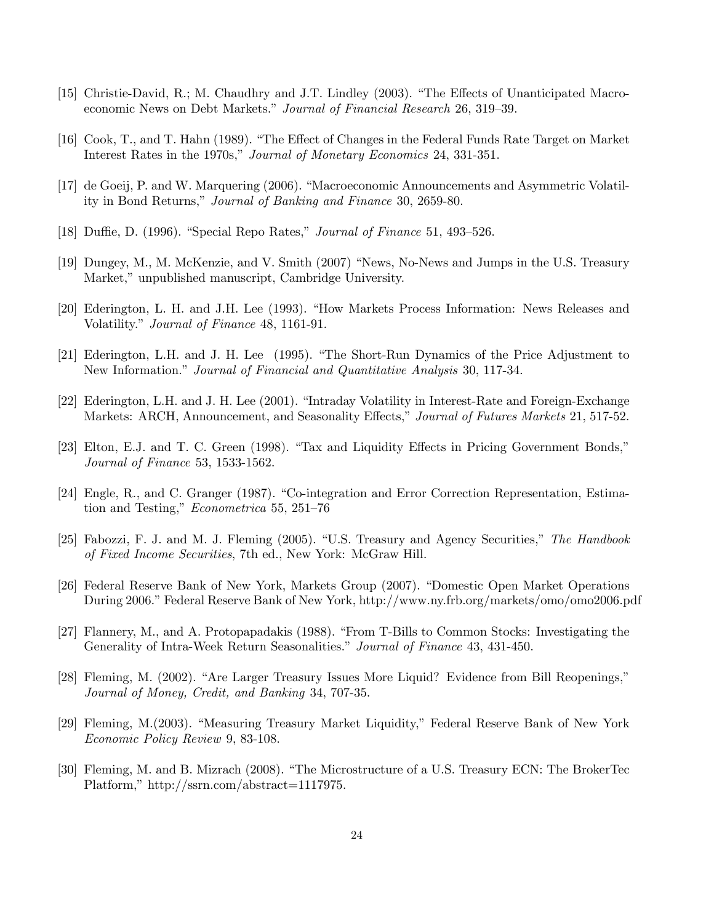- [15] Christie-David, R.; M. Chaudhry and J.T. Lindley (2003). "The Effects of Unanticipated Macroeconomic News on Debt Markets." Journal of Financial Research 26, 319—39.
- [16] Cook, T., and T. Hahn (1989). "The Effect of Changes in the Federal Funds Rate Target on Market Interest Rates in the 1970s," Journal of Monetary Economics 24, 331-351.
- [17] de Goeij, P. and W. Marquering (2006). "Macroeconomic Announcements and Asymmetric Volatility in Bond Returns," Journal of Banking and Finance 30, 2659-80.
- [18] Duffie, D. (1996). "Special Repo Rates," Journal of Finance 51, 493—526.
- [19] Dungey, M., M. McKenzie, and V. Smith (2007) "News, No-News and Jumps in the U.S. Treasury Market," unpublished manuscript, Cambridge University.
- [20] Ederington, L. H. and J.H. Lee (1993). "How Markets Process Information: News Releases and Volatility." Journal of Finance 48, 1161-91.
- [21] Ederington, L.H. and J. H. Lee (1995). "The Short-Run Dynamics of the Price Adjustment to New Information." Journal of Financial and Quantitative Analysis 30, 117-34.
- [22] Ederington, L.H. and J. H. Lee (2001). "Intraday Volatility in Interest-Rate and Foreign-Exchange Markets: ARCH, Announcement, and Seasonality Effects," Journal of Futures Markets 21, 517-52.
- [23] Elton, E.J. and T. C. Green (1998). "Tax and Liquidity Effects in Pricing Government Bonds," Journal of Finance 53, 1533-1562.
- [24] Engle, R., and C. Granger (1987). "Co-integration and Error Correction Representation, Estimation and Testing," Econometrica 55, 251—76
- [25] Fabozzi, F. J. and M. J. Fleming (2005). "U.S. Treasury and Agency Securities," The Handbook of Fixed Income Securities, 7th ed., New York: McGraw Hill.
- [26] Federal Reserve Bank of New York, Markets Group (2007). "Domestic Open Market Operations During 2006." Federal Reserve Bank of New York, http://www.ny.frb.org/markets/omo/omo2006.pdf
- [27] Flannery, M., and A. Protopapadakis (1988). "From T-Bills to Common Stocks: Investigating the Generality of Intra-Week Return Seasonalities." Journal of Finance 43, 431-450.
- [28] Fleming, M. (2002). "Are Larger Treasury Issues More Liquid? Evidence from Bill Reopenings," Journal of Money, Credit, and Banking 34, 707-35.
- [29] Fleming, M.(2003). "Measuring Treasury Market Liquidity," Federal Reserve Bank of New York Economic Policy Review 9, 83-108.
- [30] Fleming, M. and B. Mizrach (2008). "The Microstructure of a U.S. Treasury ECN: The BrokerTec Platform," http://ssrn.com/abstract=1117975.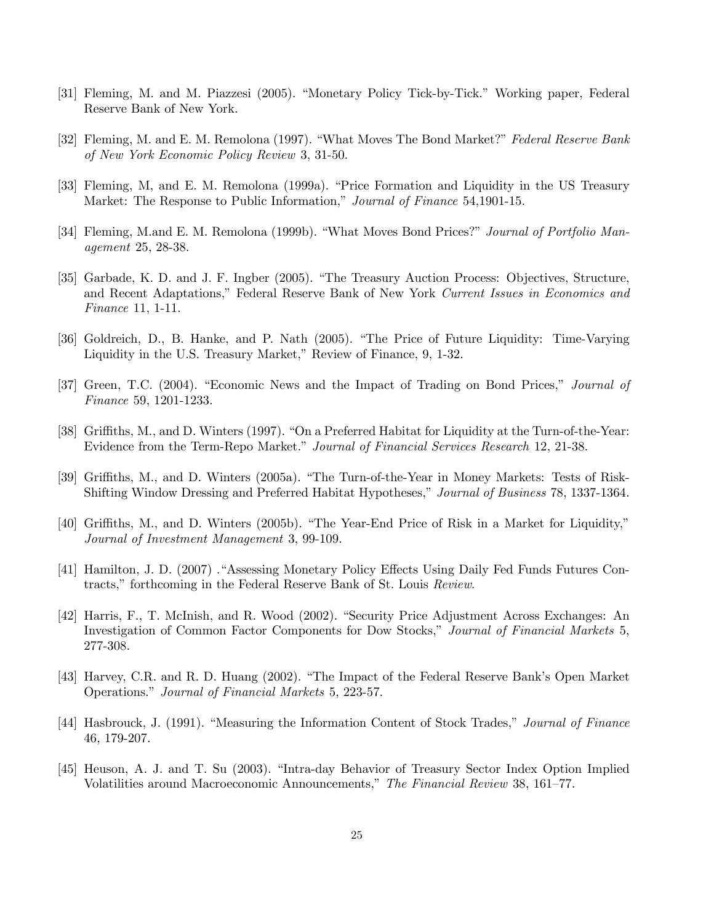- [31] Fleming, M. and M. Piazzesi (2005). "Monetary Policy Tick-by-Tick." Working paper, Federal Reserve Bank of New York.
- [32] Fleming, M. and E. M. Remolona (1997). "What Moves The Bond Market?" Federal Reserve Bank of New York Economic Policy Review 3, 31-50.
- [33] Fleming, M, and E. M. Remolona (1999a). "Price Formation and Liquidity in the US Treasury Market: The Response to Public Information," Journal of Finance 54,1901-15.
- [34] Fleming, M.and E. M. Remolona (1999b). "What Moves Bond Prices?" Journal of Portfolio Management 25, 28-38.
- [35] Garbade, K. D. and J. F. Ingber (2005). "The Treasury Auction Process: Objectives, Structure, and Recent Adaptations," Federal Reserve Bank of New York Current Issues in Economics and Finance 11, 1-11.
- [36] Goldreich, D., B. Hanke, and P. Nath (2005). "The Price of Future Liquidity: Time-Varying Liquidity in the U.S. Treasury Market," Review of Finance, 9, 1-32.
- [37] Green, T.C. (2004). "Economic News and the Impact of Trading on Bond Prices," *Journal of* Finance 59, 1201-1233.
- [38] Griffiths, M., and D. Winters (1997). "On a Preferred Habitat for Liquidity at the Turn-of-the-Year: Evidence from the Term-Repo Market." Journal of Financial Services Research 12, 21-38.
- [39] Griffiths, M., and D. Winters (2005a). "The Turn-of-the-Year in Money Markets: Tests of Risk-Shifting Window Dressing and Preferred Habitat Hypotheses," Journal of Business 78, 1337-1364.
- [40] Griffiths, M., and D. Winters (2005b). "The Year-End Price of Risk in a Market for Liquidity," Journal of Investment Management 3, 99-109.
- [41] Hamilton, J. D. (2007) ."Assessing Monetary Policy Effects Using Daily Fed Funds Futures Contracts," forthcoming in the Federal Reserve Bank of St. Louis Review.
- [42] Harris, F., T. McInish, and R. Wood (2002). "Security Price Adjustment Across Exchanges: An Investigation of Common Factor Components for Dow Stocks," Journal of Financial Markets 5, 277-308.
- [43] Harvey, C.R. and R. D. Huang (2002). "The Impact of the Federal Reserve Bank's Open Market Operations." Journal of Financial Markets 5, 223-57.
- [44] Hasbrouck, J. (1991). "Measuring the Information Content of Stock Trades," Journal of Finance 46, 179-207.
- [45] Heuson, A. J. and T. Su (2003). "Intra-day Behavior of Treasury Sector Index Option Implied Volatilities around Macroeconomic Announcements," The Financial Review 38, 161—77.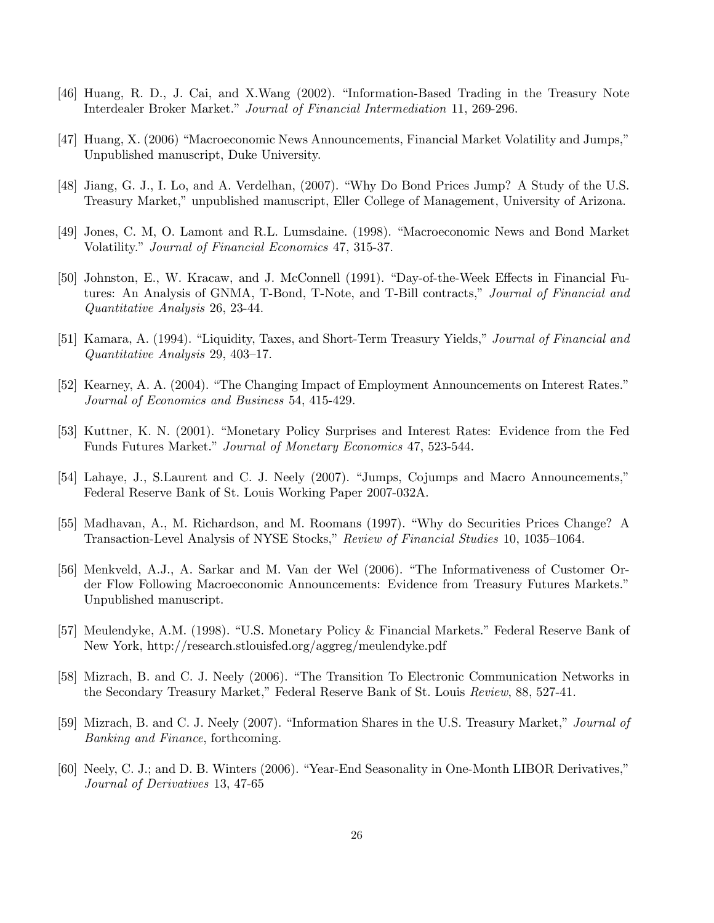- [46] Huang, R. D., J. Cai, and X.Wang (2002). "Information-Based Trading in the Treasury Note Interdealer Broker Market." Journal of Financial Intermediation 11, 269-296.
- [47] Huang, X. (2006) "Macroeconomic News Announcements, Financial Market Volatility and Jumps," Unpublished manuscript, Duke University.
- [48] Jiang, G. J., I. Lo, and A. Verdelhan, (2007). "Why Do Bond Prices Jump? A Study of the U.S. Treasury Market," unpublished manuscript, Eller College of Management, University of Arizona.
- [49] Jones, C. M, O. Lamont and R.L. Lumsdaine. (1998). "Macroeconomic News and Bond Market Volatility." Journal of Financial Economics 47, 315-37.
- [50] Johnston, E., W. Kracaw, and J. McConnell (1991). "Day-of-the-Week Effects in Financial Futures: An Analysis of GNMA, T-Bond, T-Note, and T-Bill contracts," Journal of Financial and Quantitative Analysis 26, 23-44.
- [51] Kamara, A. (1994). "Liquidity, Taxes, and Short-Term Treasury Yields," Journal of Financial and Quantitative Analysis 29, 403—17.
- [52] Kearney, A. A. (2004). "The Changing Impact of Employment Announcements on Interest Rates." Journal of Economics and Business 54, 415-429.
- [53] Kuttner, K. N. (2001). "Monetary Policy Surprises and Interest Rates: Evidence from the Fed Funds Futures Market." Journal of Monetary Economics 47, 523-544.
- [54] Lahaye, J., S.Laurent and C. J. Neely (2007). "Jumps, Cojumps and Macro Announcements," Federal Reserve Bank of St. Louis Working Paper 2007-032A.
- [55] Madhavan, A., M. Richardson, and M. Roomans (1997). "Why do Securities Prices Change? A Transaction-Level Analysis of NYSE Stocks," Review of Financial Studies 10, 1035—1064.
- [56] Menkveld, A.J., A. Sarkar and M. Van der Wel (2006). "The Informativeness of Customer Order Flow Following Macroeconomic Announcements: Evidence from Treasury Futures Markets." Unpublished manuscript.
- [57] Meulendyke, A.M. (1998). "U.S. Monetary Policy & Financial Markets." Federal Reserve Bank of New York, http://research.stlouisfed.org/aggreg/meulendyke.pdf
- [58] Mizrach, B. and C. J. Neely (2006). "The Transition To Electronic Communication Networks in the Secondary Treasury Market," Federal Reserve Bank of St. Louis Review, 88, 527-41.
- [59] Mizrach, B. and C. J. Neely (2007). "Information Shares in the U.S. Treasury Market," Journal of Banking and Finance, forthcoming.
- [60] Neely, C. J.; and D. B. Winters (2006). "Year-End Seasonality in One-Month LIBOR Derivatives," Journal of Derivatives 13, 47-65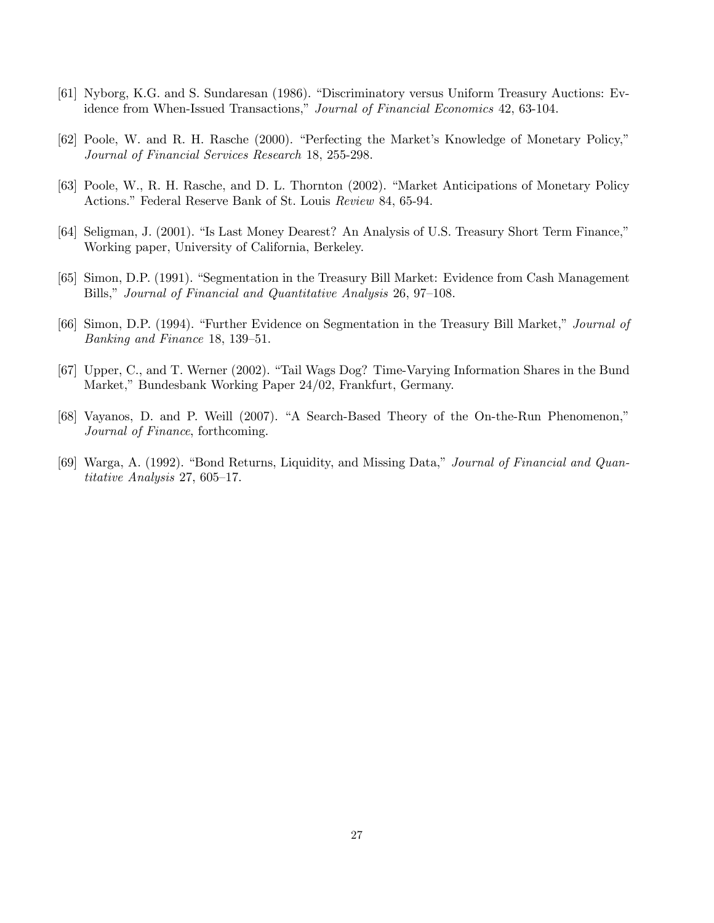- [61] Nyborg, K.G. and S. Sundaresan (1986). "Discriminatory versus Uniform Treasury Auctions: Evidence from When-Issued Transactions," Journal of Financial Economics 42, 63-104.
- [62] Poole, W. and R. H. Rasche (2000). "Perfecting the Market's Knowledge of Monetary Policy," Journal of Financial Services Research 18, 255-298.
- [63] Poole, W., R. H. Rasche, and D. L. Thornton (2002). "Market Anticipations of Monetary Policy Actions." Federal Reserve Bank of St. Louis Review 84, 65-94.
- [64] Seligman, J. (2001). "Is Last Money Dearest? An Analysis of U.S. Treasury Short Term Finance," Working paper, University of California, Berkeley.
- [65] Simon, D.P. (1991). "Segmentation in the Treasury Bill Market: Evidence from Cash Management Bills," Journal of Financial and Quantitative Analysis 26, 97—108.
- [66] Simon, D.P. (1994). "Further Evidence on Segmentation in the Treasury Bill Market," Journal of Banking and Finance 18, 139—51.
- [67] Upper, C., and T. Werner (2002). "Tail Wags Dog? Time-Varying Information Shares in the Bund Market," Bundesbank Working Paper 24/02, Frankfurt, Germany.
- [68] Vayanos, D. and P. Weill (2007). "A Search-Based Theory of the On-the-Run Phenomenon," Journal of Finance, forthcoming.
- [69] Warga, A. (1992). "Bond Returns, Liquidity, and Missing Data," Journal of Financial and Quantitative Analysis 27, 605—17.